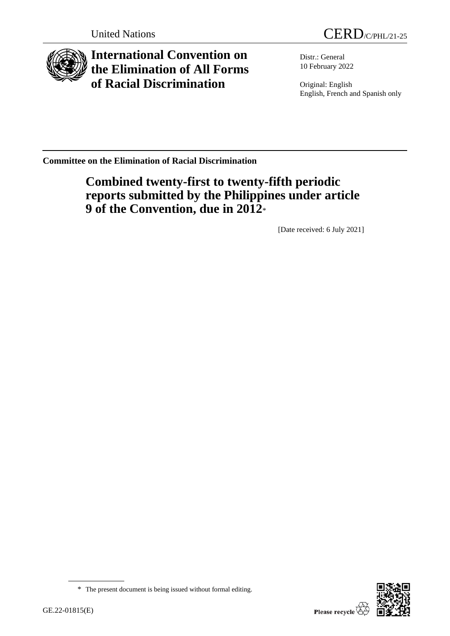

**International Convention on the Elimination of All Forms of Racial Discrimination**

Distr.: General 10 February 2022

Original: English English, French and Spanish only

**Committee on the Elimination of Racial Discrimination**

# **Combined twenty-first to twenty-fifth periodic reports submitted by the Philippines under article 9 of the Convention, due in 2012**\*

[Date received: 6 July 2021]



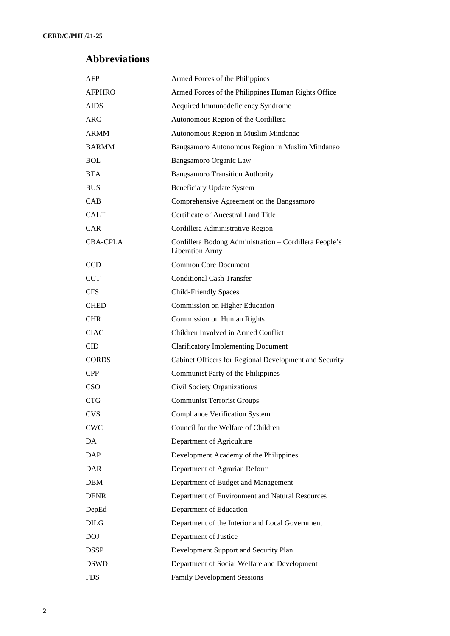# **Abbreviations**

| AFP             | Armed Forces of the Philippines                                                  |
|-----------------|----------------------------------------------------------------------------------|
| <b>AFPHRO</b>   | Armed Forces of the Philippines Human Rights Office                              |
| <b>AIDS</b>     | Acquired Immunodeficiency Syndrome                                               |
| ARC             | Autonomous Region of the Cordillera                                              |
| <b>ARMM</b>     | Autonomous Region in Muslim Mindanao                                             |
| <b>BARMM</b>    | Bangsamoro Autonomous Region in Muslim Mindanao                                  |
| BOL.            | Bangsamoro Organic Law                                                           |
| <b>BTA</b>      | <b>Bangsamoro Transition Authority</b>                                           |
| <b>BUS</b>      | <b>Beneficiary Update System</b>                                                 |
| CAB             | Comprehensive Agreement on the Bangsamoro                                        |
| <b>CALT</b>     | Certificate of Ancestral Land Title                                              |
| CAR             | Cordillera Administrative Region                                                 |
| <b>CBA-CPLA</b> | Cordillera Bodong Administration - Cordillera People's<br><b>Liberation Army</b> |
| CCD             | <b>Common Core Document</b>                                                      |
| <b>CCT</b>      | <b>Conditional Cash Transfer</b>                                                 |
| <b>CFS</b>      | <b>Child-Friendly Spaces</b>                                                     |
| CHED            | Commission on Higher Education                                                   |
| <b>CHR</b>      | <b>Commission on Human Rights</b>                                                |
| <b>CIAC</b>     | Children Involved in Armed Conflict                                              |
| <b>CID</b>      | <b>Clarificatory Implementing Document</b>                                       |
| <b>CORDS</b>    | Cabinet Officers for Regional Development and Security                           |
| <b>CPP</b>      | Communist Party of the Philippines                                               |
| CSO             | Civil Society Organization/s                                                     |
| <b>CTG</b>      | <b>Communist Terrorist Groups</b>                                                |
| <b>CVS</b>      | <b>Compliance Verification System</b>                                            |
| <b>CWC</b>      | Council for the Welfare of Children                                              |
| DA              | Department of Agriculture                                                        |
| <b>DAP</b>      | Development Academy of the Philippines                                           |
| <b>DAR</b>      | Department of Agrarian Reform                                                    |
| <b>DBM</b>      | Department of Budget and Management                                              |
| <b>DENR</b>     | Department of Environment and Natural Resources                                  |
| DepEd           | Department of Education                                                          |
| <b>DILG</b>     | Department of the Interior and Local Government                                  |
| <b>DOJ</b>      | Department of Justice                                                            |
| <b>DSSP</b>     | Development Support and Security Plan                                            |
| <b>DSWD</b>     | Department of Social Welfare and Development                                     |
| <b>FDS</b>      | <b>Family Development Sessions</b>                                               |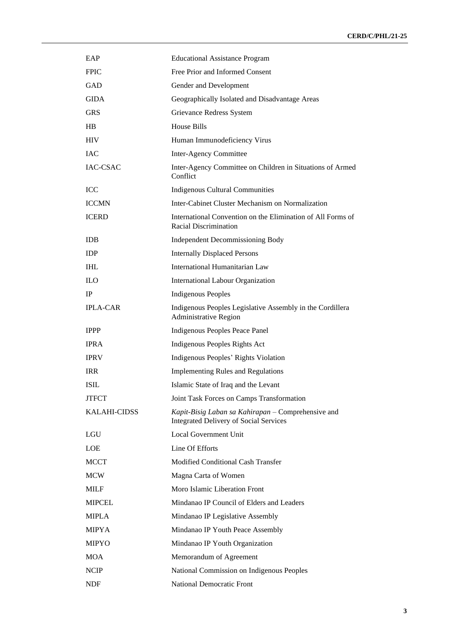| EAP                 | <b>Educational Assistance Program</b>                                                               |
|---------------------|-----------------------------------------------------------------------------------------------------|
| <b>FPIC</b>         | Free Prior and Informed Consent                                                                     |
| <b>GAD</b>          | Gender and Development                                                                              |
| <b>GIDA</b>         | Geographically Isolated and Disadvantage Areas                                                      |
| <b>GRS</b>          | Grievance Redress System                                                                            |
| <b>HB</b>           | House Bills                                                                                         |
| <b>HIV</b>          | Human Immunodeficiency Virus                                                                        |
| <b>IAC</b>          | <b>Inter-Agency Committee</b>                                                                       |
| IAC-CSAC            | Inter-Agency Committee on Children in Situations of Armed<br>Conflict                               |
| <b>ICC</b>          | <b>Indigenous Cultural Communities</b>                                                              |
| <b>ICCMN</b>        | Inter-Cabinet Cluster Mechanism on Normalization                                                    |
| <b>ICERD</b>        | International Convention on the Elimination of All Forms of<br>Racial Discrimination                |
| <b>IDB</b>          | <b>Independent Decommissioning Body</b>                                                             |
| <b>IDP</b>          | <b>Internally Displaced Persons</b>                                                                 |
| <b>IHL</b>          | International Humanitarian Law                                                                      |
| <b>ILO</b>          | International Labour Organization                                                                   |
| IP.                 | <b>Indigenous Peoples</b>                                                                           |
| <b>IPLA-CAR</b>     | Indigenous Peoples Legislative Assembly in the Cordillera<br><b>Administrative Region</b>           |
| <b>IPPP</b>         | Indigenous Peoples Peace Panel                                                                      |
| <b>IPRA</b>         | Indigenous Peoples Rights Act                                                                       |
| <b>IPRV</b>         | Indigenous Peoples' Rights Violation                                                                |
| <b>IRR</b>          | <b>Implementing Rules and Regulations</b>                                                           |
| <b>ISIL</b>         | Islamic State of Iraq and the Levant                                                                |
| <b>JTFCT</b>        | Joint Task Forces on Camps Transformation                                                           |
| <b>KALAHI-CIDSS</b> | Kapit-Bisig Laban sa Kahirapan - Comprehensive and<br><b>Integrated Delivery of Social Services</b> |
| LGU                 | Local Government Unit                                                                               |
| <b>LOE</b>          | Line Of Efforts                                                                                     |
| <b>MCCT</b>         | Modified Conditional Cash Transfer                                                                  |
| <b>MCW</b>          | Magna Carta of Women                                                                                |
| <b>MILF</b>         | Moro Islamic Liberation Front                                                                       |
| <b>MIPCEL</b>       | Mindanao IP Council of Elders and Leaders                                                           |
| <b>MIPLA</b>        | Mindanao IP Legislative Assembly                                                                    |
| <b>MIPYA</b>        | Mindanao IP Youth Peace Assembly                                                                    |
| <b>MIPYO</b>        | Mindanao IP Youth Organization                                                                      |
| <b>MOA</b>          | Memorandum of Agreement                                                                             |
| <b>NCIP</b>         | National Commission on Indigenous Peoples                                                           |
| <b>NDF</b>          | National Democratic Front                                                                           |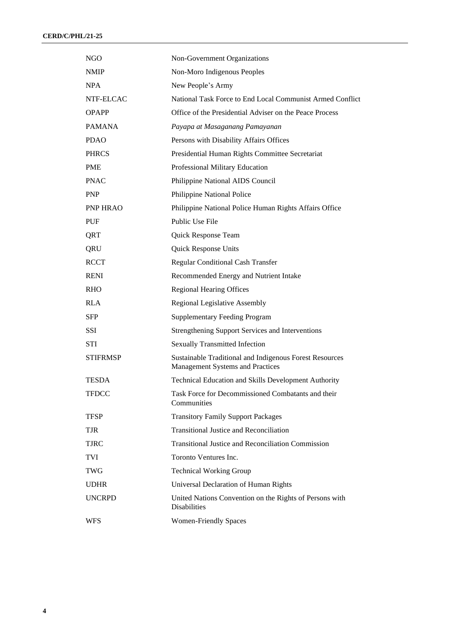| <b>NGO</b>      | Non-Government Organizations                                                                |
|-----------------|---------------------------------------------------------------------------------------------|
| <b>NMIP</b>     | Non-Moro Indigenous Peoples                                                                 |
| <b>NPA</b>      | New People's Army                                                                           |
| NTF-ELCAC       | National Task Force to End Local Communist Armed Conflict                                   |
| <b>OPAPP</b>    | Office of the Presidential Adviser on the Peace Process                                     |
| <b>PAMANA</b>   | Payapa at Masaganang Pamayanan                                                              |
| <b>PDAO</b>     | Persons with Disability Affairs Offices                                                     |
| <b>PHRCS</b>    | Presidential Human Rights Committee Secretariat                                             |
| <b>PME</b>      | Professional Military Education                                                             |
| <b>PNAC</b>     | Philippine National AIDS Council                                                            |
| <b>PNP</b>      | Philippine National Police                                                                  |
| PNP HRAO        | Philippine National Police Human Rights Affairs Office                                      |
| <b>PUF</b>      | Public Use File                                                                             |
| QRT             | Quick Response Team                                                                         |
| QRU             | Quick Response Units                                                                        |
| <b>RCCT</b>     | <b>Regular Conditional Cash Transfer</b>                                                    |
| <b>RENI</b>     | Recommended Energy and Nutrient Intake                                                      |
| <b>RHO</b>      | <b>Regional Hearing Offices</b>                                                             |
| <b>RLA</b>      | Regional Legislative Assembly                                                               |
| <b>SFP</b>      | <b>Supplementary Feeding Program</b>                                                        |
| <b>SSI</b>      | <b>Strengthening Support Services and Interventions</b>                                     |
| <b>STI</b>      | <b>Sexually Transmitted Infection</b>                                                       |
| <b>STIFRMSP</b> | Sustainable Traditional and Indigenous Forest Resources<br>Management Systems and Practices |
| <b>TESDA</b>    | Technical Education and Skills Development Authority                                        |
| <b>TFDCC</b>    | Task Force for Decommissioned Combatants and their<br>Communities                           |
| <b>TFSP</b>     | <b>Transitory Family Support Packages</b>                                                   |
| <b>TJR</b>      | <b>Transitional Justice and Reconciliation</b>                                              |
| <b>TJRC</b>     | <b>Transitional Justice and Reconciliation Commission</b>                                   |
| TVI             | Toronto Ventures Inc.                                                                       |
| TWG             | <b>Technical Working Group</b>                                                              |
| <b>UDHR</b>     | Universal Declaration of Human Rights                                                       |
| <b>UNCRPD</b>   | United Nations Convention on the Rights of Persons with<br>Disabilities                     |
| <b>WFS</b>      | <b>Women-Friendly Spaces</b>                                                                |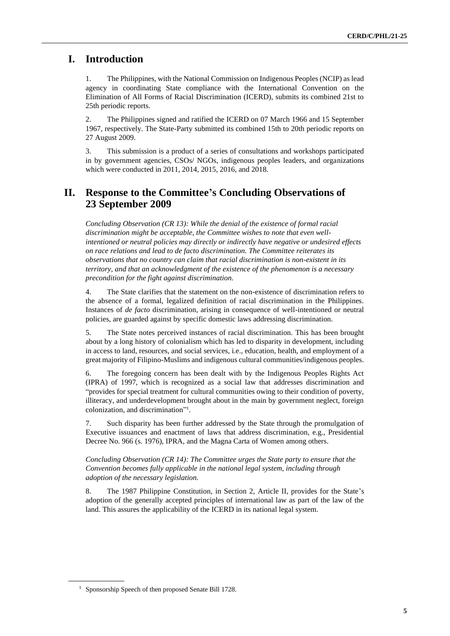# **I. Introduction**

1. The Philippines, with the National Commission on Indigenous Peoples (NCIP) as lead agency in coordinating State compliance with the International Convention on the Elimination of All Forms of Racial Discrimination (ICERD), submits its combined 21st to 25th periodic reports.

2. The Philippines signed and ratified the ICERD on 07 March 1966 and 15 September 1967, respectively. The State-Party submitted its combined 15th to 20th periodic reports on 27 August 2009.

3. This submission is a product of a series of consultations and workshops participated in by government agencies, CSOs/ NGOs, indigenous peoples leaders, and organizations which were conducted in 2011, 2014, 2015, 2016, and 2018.

## **II. Response to the Committee's Concluding Observations of 23 September 2009**

*Concluding Observation (CR 13): While the denial of the existence of formal racial discrimination might be acceptable, the Committee wishes to note that even wellintentioned or neutral policies may directly or indirectly have negative or undesired effects on race relations and lead to de facto discrimination. The Committee reiterates its observations that no country can claim that racial discrimination is non-existent in its territory, and that an acknowledgment of the existence of the phenomenon is a necessary precondition for the fight against discrimination.*

4. The State clarifies that the statement on the non-existence of discrimination refers to the absence of a formal, legalized definition of racial discrimination in the Philippines. Instances of *de facto* discrimination, arising in consequence of well-intentioned or neutral policies, are guarded against by specific domestic laws addressing discrimination.

5. The State notes perceived instances of racial discrimination. This has been brought about by a long history of colonialism which has led to disparity in development, including in access to land, resources, and social services, i.e., education, health, and employment of a great majority of Filipino-Muslims and indigenous cultural communities/indigenous peoples.

6. The foregoing concern has been dealt with by the Indigenous Peoples Rights Act (IPRA) of 1997, which is recognized as a social law that addresses discrimination and "provides for special treatment for cultural communities owing to their condition of poverty, illiteracy, and underdevelopment brought about in the main by government neglect, foreign colonization, and discrimination" 1 .

7. Such disparity has been further addressed by the State through the promulgation of Executive issuances and enactment of laws that address discrimination, e.g., Presidential Decree No. 966 (s. 1976), IPRA, and the Magna Carta of Women among others.

*Concluding Observation (CR 14): The Committee urges the State party to ensure that the Convention becomes fully applicable in the national legal system, including through adoption of the necessary legislation.* 

8. The 1987 Philippine Constitution, in Section 2, Article II, provides for the State's adoption of the generally accepted principles of international law as part of the law of the land. This assures the applicability of the ICERD in its national legal system.

<sup>&</sup>lt;sup>1</sup> Sponsorship Speech of then proposed Senate Bill 1728.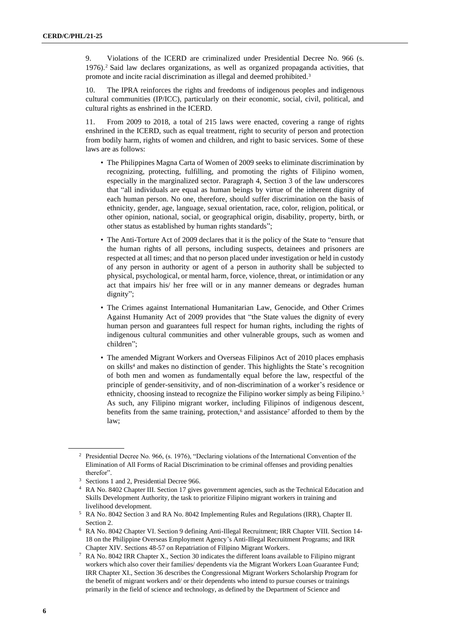9. Violations of the ICERD are criminalized under Presidential Decree No. 966 (s. 1976).<sup>2</sup> Said law declares organizations, as well as organized propaganda activities, that promote and incite racial discrimination as illegal and deemed prohibited.<sup>3</sup>

10. The IPRA reinforces the rights and freedoms of indigenous peoples and indigenous cultural communities (IP/ICC), particularly on their economic, social, civil, political, and cultural rights as enshrined in the ICERD.

11. From 2009 to 2018, a total of 215 laws were enacted, covering a range of rights enshrined in the ICERD, such as equal treatment, right to security of person and protection from bodily harm, rights of women and children, and right to basic services. Some of these laws are as follows:

- The Philippines Magna Carta of Women of 2009 seeks to eliminate discrimination by recognizing, protecting, fulfilling, and promoting the rights of Filipino women, especially in the marginalized sector. Paragraph 4, Section 3 of the law underscores that "all individuals are equal as human beings by virtue of the inherent dignity of each human person. No one, therefore, should suffer discrimination on the basis of ethnicity, gender, age, language, sexual orientation, race, color, religion, political, or other opinion, national, social, or geographical origin, disability, property, birth, or other status as established by human rights standards";
- The Anti-Torture Act of 2009 declares that it is the policy of the State to "ensure that the human rights of all persons, including suspects, detainees and prisoners are respected at all times; and that no person placed under investigation or held in custody of any person in authority or agent of a person in authority shall be subjected to physical, psychological, or mental harm, force, violence, threat, or intimidation or any act that impairs his/ her free will or in any manner demeans or degrades human dignity";
- The Crimes against International Humanitarian Law, Genocide, and Other Crimes Against Humanity Act of 2009 provides that "the State values the dignity of every human person and guarantees full respect for human rights, including the rights of indigenous cultural communities and other vulnerable groups, such as women and children";
- The amended Migrant Workers and Overseas Filipinos Act of 2010 places emphasis on skills<sup>4</sup> and makes no distinction of gender. This highlights the State's recognition of both men and women as fundamentally equal before the law, respectful of the principle of gender-sensitivity, and of non-discrimination of a worker's residence or ethnicity, choosing instead to recognize the Filipino worker simply as being Filipino.<sup>5</sup> As such, any Filipino migrant worker, including Filipinos of indigenous descent, benefits from the same training, protection, $6$  and assistance<sup>7</sup> afforded to them by the law;

<sup>2</sup> Presidential Decree No. 966, (s. 1976), "Declaring violations of the International Convention of the Elimination of All Forms of Racial Discrimination to be criminal offenses and providing penalties therefor".

<sup>3</sup> Sections 1 and 2, Presidential Decree 966.

<sup>4</sup> RA No. 8402 Chapter III. Section 17 gives government agencies, such as the Technical Education and Skills Development Authority, the task to prioritize Filipino migrant workers in training and livelihood development.

<sup>5</sup> RA No. 8042 Section 3 and RA No. 8042 Implementing Rules and Regulations (IRR), Chapter II. Section 2.

<sup>6</sup> RA No. 8042 Chapter VI. Section 9 defining Anti-Illegal Recruitment; IRR Chapter VIII. Section 14- 18 on the Philippine Overseas Employment Agency's Anti-Illegal Recruitment Programs; and IRR Chapter XIV. Sections 48-57 on Repatriation of Filipino Migrant Workers.

<sup>7</sup> RA No. 8042 IRR Chapter X., Section 30 indicates the different loans available to Filipino migrant workers which also cover their families/ dependents via the Migrant Workers Loan Guarantee Fund; IRR Chapter XI., Section 36 describes the Congressional Migrant Workers Scholarship Program for the benefit of migrant workers and/ or their dependents who intend to pursue courses or trainings primarily in the field of science and technology, as defined by the Department of Science and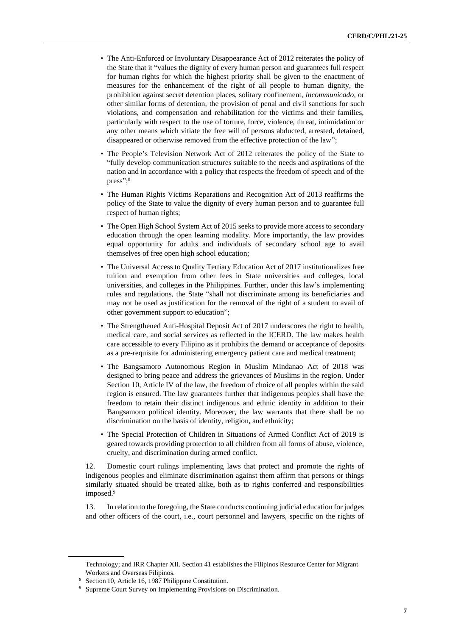- The Anti-Enforced or Involuntary Disappearance Act of 2012 reiterates the policy of the State that it "values the dignity of every human person and guarantees full respect for human rights for which the highest priority shall be given to the enactment of measures for the enhancement of the right of all people to human dignity, the prohibition against secret detention places, solitary confinement, *incommunicado*, or other similar forms of detention, the provision of penal and civil sanctions for such violations, and compensation and rehabilitation for the victims and their families, particularly with respect to the use of torture, force, violence, threat, intimidation or any other means which vitiate the free will of persons abducted, arrested, detained, disappeared or otherwise removed from the effective protection of the law";
- The People's Television Network Act of 2012 reiterates the policy of the State to "fully develop communication structures suitable to the needs and aspirations of the nation and in accordance with a policy that respects the freedom of speech and of the press"; 8
- The Human Rights Victims Reparations and Recognition Act of 2013 reaffirms the policy of the State to value the dignity of every human person and to guarantee full respect of human rights;
- The Open High School System Act of 2015 seeks to provide more access to secondary education through the open learning modality. More importantly, the law provides equal opportunity for adults and individuals of secondary school age to avail themselves of free open high school education;
- The Universal Access to Quality Tertiary Education Act of 2017 institutionalizes free tuition and exemption from other fees in State universities and colleges, local universities, and colleges in the Philippines. Further, under this law's implementing rules and regulations, the State "shall not discriminate among its beneficiaries and may not be used as justification for the removal of the right of a student to avail of other government support to education";
- The Strengthened Anti-Hospital Deposit Act of 2017 underscores the right to health, medical care, and social services as reflected in the ICERD. The law makes health care accessible to every Filipino as it prohibits the demand or acceptance of deposits as a pre-requisite for administering emergency patient care and medical treatment;
- The Bangsamoro Autonomous Region in Muslim Mindanao Act of 2018 was designed to bring peace and address the grievances of Muslims in the region. Under Section 10, Article IV of the law, the freedom of choice of all peoples within the said region is ensured. The law guarantees further that indigenous peoples shall have the freedom to retain their distinct indigenous and ethnic identity in addition to their Bangsamoro political identity. Moreover, the law warrants that there shall be no discrimination on the basis of identity, religion, and ethnicity;
- The Special Protection of Children in Situations of Armed Conflict Act of 2019 is geared towards providing protection to all children from all forms of abuse, violence, cruelty, and discrimination during armed conflict.

12. Domestic court rulings implementing laws that protect and promote the rights of indigenous peoples and eliminate discrimination against them affirm that persons or things similarly situated should be treated alike, both as to rights conferred and responsibilities imposed.<sup>9</sup>

13. In relation to the foregoing, the State conducts continuing judicial education for judges and other officers of the court, i.e., court personnel and lawyers, specific on the rights of

Technology; and IRR Chapter XII. Section 41 establishes the Filipinos Resource Center for Migrant Workers and Overseas Filipinos.

<sup>8</sup> Section 10, Article 16, 1987 Philippine Constitution.

<sup>&</sup>lt;sup>9</sup> Supreme Court Survey on Implementing Provisions on Discrimination.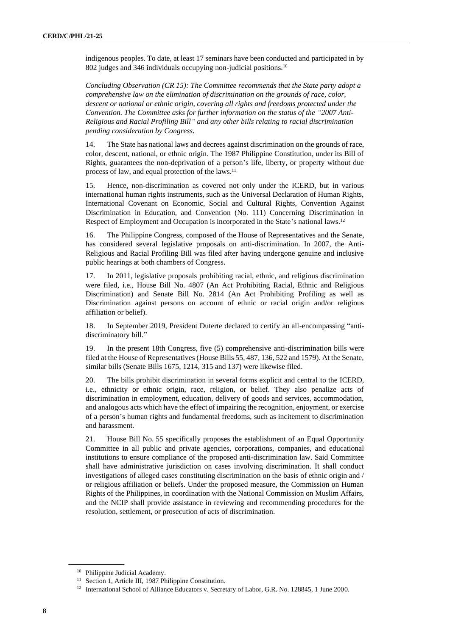indigenous peoples. To date, at least 17 seminars have been conducted and participated in by 802 judges and 346 individuals occupying non-judicial positions.<sup>10</sup>

*Concluding Observation (CR 15): The Committee recommends that the State party adopt a comprehensive law on the elimination of discrimination on the grounds of race, color,*  descent or national or ethnic origin, covering all rights and freedoms protected under the *Convention. The Committee asks for further information on the status of the "2007 Anti-Religious and Racial Profiling Bill" and any other bills relating to racial discrimination pending consideration by Congress.* 

14. The State has national laws and decrees against discrimination on the grounds of race, color, descent, national, or ethnic origin. The 1987 Philippine Constitution, under its Bill of Rights, guarantees the non-deprivation of a person's life, liberty, or property without due process of law, and equal protection of the laws.<sup>11</sup>

15. Hence, non-discrimination as covered not only under the ICERD, but in various international human rights instruments, such as the Universal Declaration of Human Rights, International Covenant on Economic, Social and Cultural Rights, Convention Against Discrimination in Education, and Convention (No. 111) Concerning Discrimination in Respect of Employment and Occupation is incorporated in the State's national laws.<sup>12</sup>

16. The Philippine Congress, composed of the House of Representatives and the Senate, has considered several legislative proposals on anti-discrimination. In 2007, the Anti-Religious and Racial Profiling Bill was filed after having undergone genuine and inclusive public hearings at both chambers of Congress.

17. In 2011, legislative proposals prohibiting racial, ethnic, and religious discrimination were filed, i.e., House Bill No. 4807 (An Act Prohibiting Racial, Ethnic and Religious Discrimination) and Senate Bill No. 2814 (An Act Prohibiting Profiling as well as Discrimination against persons on account of ethnic or racial origin and/or religious affiliation or belief).

18. In September 2019, President Duterte declared to certify an all-encompassing "antidiscriminatory bill."

19. In the present 18th Congress, five (5) comprehensive anti-discrimination bills were filed at the House of Representatives (House Bills 55, 487, 136, 522 and 1579). At the Senate, similar bills (Senate Bills 1675, 1214, 315 and 137) were likewise filed.

20. The bills prohibit discrimination in several forms explicit and central to the ICERD, i.e., ethnicity or ethnic origin, race, religion, or belief. They also penalize acts of discrimination in employment, education, delivery of goods and services, accommodation, and analogous acts which have the effect of impairing the recognition, enjoyment, or exercise of a person's human rights and fundamental freedoms, such as incitement to discrimination and harassment.

21. House Bill No. 55 specifically proposes the establishment of an Equal Opportunity Committee in all public and private agencies, corporations, companies, and educational institutions to ensure compliance of the proposed anti-discrimination law. Said Committee shall have administrative jurisdiction on cases involving discrimination. It shall conduct investigations of alleged cases constituting discrimination on the basis of ethnic origin and / or religious affiliation or beliefs. Under the proposed measure, the Commission on Human Rights of the Philippines, in coordination with the National Commission on Muslim Affairs, and the NCIP shall provide assistance in reviewing and recommending procedures for the resolution, settlement, or prosecution of acts of discrimination.

<sup>10</sup> Philippine Judicial Academy.

<sup>&</sup>lt;sup>11</sup> Section 1, Article III, 1987 Philippine Constitution.

<sup>&</sup>lt;sup>12</sup> International School of Alliance Educators v. Secretary of Labor, G.R. No. 128845, 1 June 2000.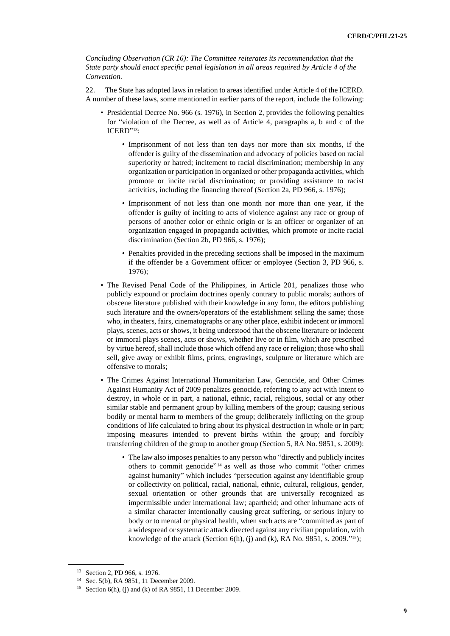*Concluding Observation (CR 16): The Committee reiterates its recommendation that the State party should enact specific penal legislation in all areas required by Article 4 of the Convention.*

22. The State has adopted laws in relation to areas identified under Article 4 of the ICERD. A number of these laws, some mentioned in earlier parts of the report, include the following:

- Presidential Decree No. 966 (s. 1976), in Section 2, provides the following penalties for "violation of the Decree, as well as of Article 4, paragraphs a, b and c of the ICERD" <sup>13</sup>:
	- Imprisonment of not less than ten days nor more than six months, if the offender is guilty of the dissemination and advocacy of policies based on racial superiority or hatred; incitement to racial discrimination; membership in any organization or participation in organized or other propaganda activities, which promote or incite racial discrimination; or providing assistance to racist activities, including the financing thereof (Section 2a, PD 966, s. 1976);
	- Imprisonment of not less than one month nor more than one year, if the offender is guilty of inciting to acts of violence against any race or group of persons of another color or ethnic origin or is an officer or organizer of an organization engaged in propaganda activities, which promote or incite racial discrimination (Section 2b, PD 966, s. 1976);
	- Penalties provided in the preceding sections shall be imposed in the maximum if the offender be a Government officer or employee (Section 3, PD 966, s. 1976);
- The Revised Penal Code of the Philippines, in Article 201, penalizes those who publicly expound or proclaim doctrines openly contrary to public morals; authors of obscene literature published with their knowledge in any form, the editors publishing such literature and the owners/operators of the establishment selling the same; those who, in theaters, fairs, cinematographs or any other place, exhibit indecent or immoral plays, scenes, acts or shows, it being understood that the obscene literature or indecent or immoral plays scenes, acts or shows, whether live or in film, which are prescribed by virtue hereof, shall include those which offend any race or religion; those who shall sell, give away or exhibit films, prints, engravings, sculpture or literature which are offensive to morals;
- The Crimes Against International Humanitarian Law, Genocide, and Other Crimes Against Humanity Act of 2009 penalizes genocide, referring to any act with intent to destroy, in whole or in part, a national, ethnic, racial, religious, social or any other similar stable and permanent group by killing members of the group; causing serious bodily or mental harm to members of the group; deliberately inflicting on the group conditions of life calculated to bring about its physical destruction in whole or in part; imposing measures intended to prevent births within the group; and forcibly transferring children of the group to another group (Section 5, RA No. 9851, s. 2009):
	- The law also imposes penalties to any person who "directly and publicly incites others to commit genocide" <sup>14</sup> as well as those who commit "other crimes against humanity" which includes "persecution against any identifiable group or collectivity on political, racial, national, ethnic, cultural, religious, gender, sexual orientation or other grounds that are universally recognized as impermissible under international law; apartheid; and other inhumane acts of a similar character intentionally causing great suffering, or serious injury to body or to mental or physical health, when such acts are "committed as part of a widespread or systematic attack directed against any civilian population, with knowledge of the attack (Section  $6(h)$ , (j) and (k), RA No. 9851, s. 2009.<sup>''15</sup>);

<sup>13</sup> Section 2, PD 966, s. 1976.

<sup>14</sup> Sec. 5(b), RA 9851, 11 December 2009.

<sup>&</sup>lt;sup>15</sup> Section 6(h), (j) and (k) of RA 9851, 11 December 2009.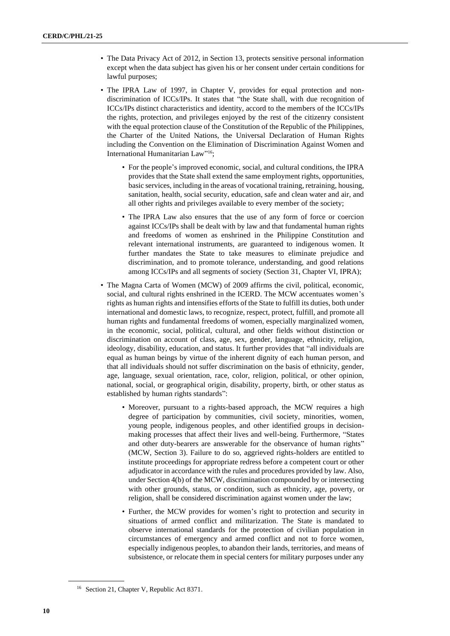- The Data Privacy Act of 2012, in Section 13, protects sensitive personal information except when the data subject has given his or her consent under certain conditions for lawful purposes;
- The IPRA Law of 1997, in Chapter V, provides for equal protection and nondiscrimination of ICCs/IPs. It states that "the State shall, with due recognition of ICCs/IPs distinct characteristics and identity, accord to the members of the ICCs/IPs the rights, protection, and privileges enjoyed by the rest of the citizenry consistent with the equal protection clause of the Constitution of the Republic of the Philippines, the Charter of the United Nations, the Universal Declaration of Human Rights including the Convention on the Elimination of Discrimination Against Women and International Humanitarian Law" 16;
	- For the people's improved economic, social, and cultural conditions, the IPRA provides that the State shall extend the same employment rights, opportunities, basic services, including in the areas of vocational training, retraining, housing, sanitation, health, social security, education, safe and clean water and air, and all other rights and privileges available to every member of the society;
	- The IPRA Law also ensures that the use of any form of force or coercion against ICCs/IPs shall be dealt with by law and that fundamental human rights and freedoms of women as enshrined in the Philippine Constitution and relevant international instruments, are guaranteed to indigenous women. It further mandates the State to take measures to eliminate prejudice and discrimination, and to promote tolerance, understanding, and good relations among ICCs/IPs and all segments of society (Section 31, Chapter VI, IPRA);
- The Magna Carta of Women (MCW) of 2009 affirms the civil, political, economic, social, and cultural rights enshrined in the ICERD. The MCW accentuates women's rights as human rights and intensifies efforts of the State to fulfill its duties, both under international and domestic laws, to recognize, respect, protect, fulfill, and promote all human rights and fundamental freedoms of women, especially marginalized women, in the economic, social, political, cultural, and other fields without distinction or discrimination on account of class, age, sex, gender, language, ethnicity, religion, ideology, disability, education, and status. It further provides that "all individuals are equal as human beings by virtue of the inherent dignity of each human person, and that all individuals should not suffer discrimination on the basis of ethnicity, gender, age, language, sexual orientation, race, color, religion, political, or other opinion, national, social, or geographical origin, disability, property, birth, or other status as established by human rights standards":
	- Moreover, pursuant to a rights-based approach, the MCW requires a high degree of participation by communities, civil society, minorities, women, young people, indigenous peoples, and other identified groups in decisionmaking processes that affect their lives and well-being. Furthermore, "States and other duty-bearers are answerable for the observance of human rights" (MCW, Section 3). Failure to do so, aggrieved rights-holders are entitled to institute proceedings for appropriate redress before a competent court or other adjudicator in accordance with the rules and procedures provided by law. Also, under Section 4(b) of the MCW, discrimination compounded by or intersecting with other grounds, status, or condition, such as ethnicity, age, poverty, or religion, shall be considered discrimination against women under the law;
	- Further, the MCW provides for women's right to protection and security in situations of armed conflict and militarization. The State is mandated to observe international standards for the protection of civilian population in circumstances of emergency and armed conflict and not to force women, especially indigenous peoples, to abandon their lands, territories, and means of subsistence, or relocate them in special centers for military purposes under any

<sup>&</sup>lt;sup>16</sup> Section 21, Chapter V, Republic Act 8371.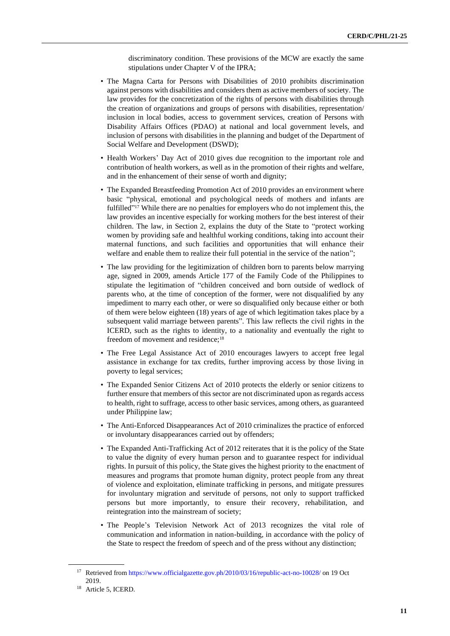discriminatory condition. These provisions of the MCW are exactly the same stipulations under Chapter V of the IPRA;

- The Magna Carta for Persons with Disabilities of 2010 prohibits discrimination against persons with disabilities and considers them as active members of society. The law provides for the concretization of the rights of persons with disabilities through the creation of organizations and groups of persons with disabilities, representation/ inclusion in local bodies, access to government services, creation of Persons with Disability Affairs Offices (PDAO) at national and local government levels, and inclusion of persons with disabilities in the planning and budget of the Department of Social Welfare and Development (DSWD);
- Health Workers' Day Act of 2010 gives due recognition to the important role and contribution of health workers, as well as in the promotion of their rights and welfare, and in the enhancement of their sense of worth and dignity;
- The Expanded Breastfeeding Promotion Act of 2010 provides an environment where basic "physical, emotional and psychological needs of mothers and infants are fulfilled" <sup>17</sup> While there are no penalties for employers who do not implement this, the law provides an incentive especially for working mothers for the best interest of their children. The law, in Section 2, explains the duty of the State to "protect working women by providing safe and healthful working conditions, taking into account their maternal functions, and such facilities and opportunities that will enhance their welfare and enable them to realize their full potential in the service of the nation";
- The law providing for the legitimization of children born to parents below marrying age, signed in 2009, amends Article 177 of the Family Code of the Philippines to stipulate the legitimation of "children conceived and born outside of wedlock of parents who, at the time of conception of the former, were not disqualified by any impediment to marry each other, or were so disqualified only because either or both of them were below eighteen (18) years of age of which legitimation takes place by a subsequent valid marriage between parents". This law reflects the civil rights in the ICERD, such as the rights to identity, to a nationality and eventually the right to freedom of movement and residence;<sup>18</sup>
- The Free Legal Assistance Act of 2010 encourages lawyers to accept free legal assistance in exchange for tax credits, further improving access by those living in poverty to legal services;
- The Expanded Senior Citizens Act of 2010 protects the elderly or senior citizens to further ensure that members of this sector are not discriminated upon as regards access to health, right to suffrage, access to other basic services, among others, as guaranteed under Philippine law;
- The Anti-Enforced Disappearances Act of 2010 criminalizes the practice of enforced or involuntary disappearances carried out by offenders;
- The Expanded Anti-Trafficking Act of 2012 reiterates that it is the policy of the State to value the dignity of every human person and to guarantee respect for individual rights. In pursuit of this policy, the State gives the highest priority to the enactment of measures and programs that promote human dignity, protect people from any threat of violence and exploitation, eliminate trafficking in persons, and mitigate pressures for involuntary migration and servitude of persons, not only to support trafficked persons but more importantly, to ensure their recovery, rehabilitation, and reintegration into the mainstream of society;
- The People's Television Network Act of 2013 recognizes the vital role of communication and information in nation-building, in accordance with the policy of the State to respect the freedom of speech and of the press without any distinction;

<sup>17</sup> Retrieved fro[m https://www.officialgazette.gov.ph/2010/03/16/republic-act-no-10028/](https://www.officialgazette.gov.ph/2010/03/16/republic-act-no-10028/) on 19 Oct 2019.

<sup>18</sup> Article 5, ICERD.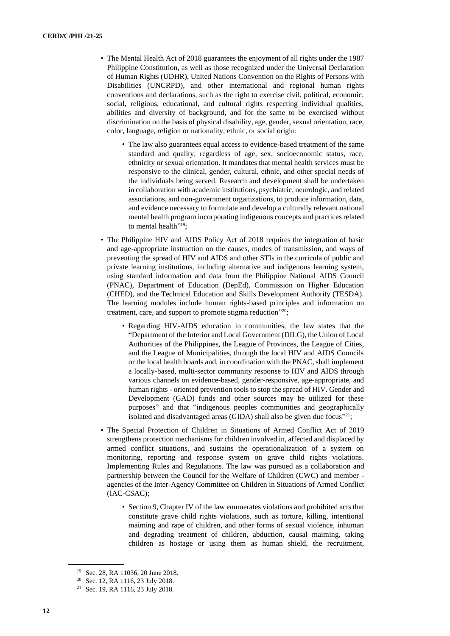- The Mental Health Act of 2018 guarantees the enjoyment of all rights under the 1987 Philippine Constitution, as well as those recognized under the Universal Declaration of Human Rights (UDHR), United Nations Convention on the Rights of Persons with Disabilities (UNCRPD), and other international and regional human rights conventions and declarations, such as the right to exercise civil, political, economic, social, religious, educational, and cultural rights respecting individual qualities, abilities and diversity of background, and for the same to be exercised without discrimination on the basis of physical disability, age, gender, sexual orientation, race, color, language, religion or nationality, ethnic, or social origin:
	- The law also guarantees equal access to evidence-based treatment of the same standard and quality, regardless of age, sex, socioeconomic status, race, ethnicity or sexual orientation. It mandates that mental health services must be responsive to the clinical, gender, cultural, ethnic, and other special needs of the individuals being served. Research and development shall be undertaken in collaboration with academic institutions, psychiatric, neurologic, and related associations, and non-government organizations, to produce information, data, and evidence necessary to formulate and develop a culturally relevant national mental health program incorporating indigenous concepts and practices related to mental health" 19;
- The Philippine HIV and AIDS Policy Act of 2018 requires the integration of basic and age-appropriate instruction on the causes, modes of transmission, and ways of preventing the spread of HIV and AIDS and other STIs in the curricula of public and private learning institutions, including alternative and indigenous learning system, using standard information and data from the Philippine National AIDS Council (PNAC), Department of Education (DepEd), Commission on Higher Education (CHED), and the Technical Education and Skills Development Authority (TESDA). The learning modules include human rights-based principles and information on treatment, care, and support to promote stigma reduction"<sup>20</sup>;
	- Regarding HIV-AIDS education in communities, the law states that the "Department of the Interior and Local Government (DILG), the Union of Local Authorities of the Philippines, the League of Provinces, the League of Cities, and the League of Municipalities, through the local HIV and AIDS Councils or the local health boards and, in coordination with the PNAC, shall implement a locally-based, multi-sector community response to HIV and AIDS through various channels on evidence-based, gender-responsive, age-appropriate, and human rights - oriented prevention tools to stop the spread of HIV. Gender and Development (GAD) funds and other sources may be utilized for these purposes" and that "indigenous peoples communities and geographically isolated and disadvantaged areas (GIDA) shall also be given due focus"<sup>21</sup>;
- The Special Protection of Children in Situations of Armed Conflict Act of 2019 strengthens protection mechanisms for children involved in, affected and displaced by armed conflict situations, and sustains the operationalization of a system on monitoring, reporting and response system on grave child rights violations. Implementing Rules and Regulations. The law was pursued as a collaboration and partnership between the Council for the Welfare of Children (CWC) and member agencies of the Inter-Agency Committee on Children in Situations of Armed Conflict (IAC-CSAC);
	- Section 9, Chapter IV of the law enumerates violations and prohibited acts that constitute grave child rights violations, such as torture, killing, intentional maiming and rape of children, and other forms of sexual violence, inhuman and degrading treatment of children, abduction, causal maiming, taking children as hostage or using them as human shield, the recruitment,

<sup>19</sup> Sec. 28, RA 11036, 20 June 2018.

<sup>20</sup> Sec. 12, RA 1116, 23 July 2018.

<sup>21</sup> Sec. 19, RA 1116, 23 July 2018.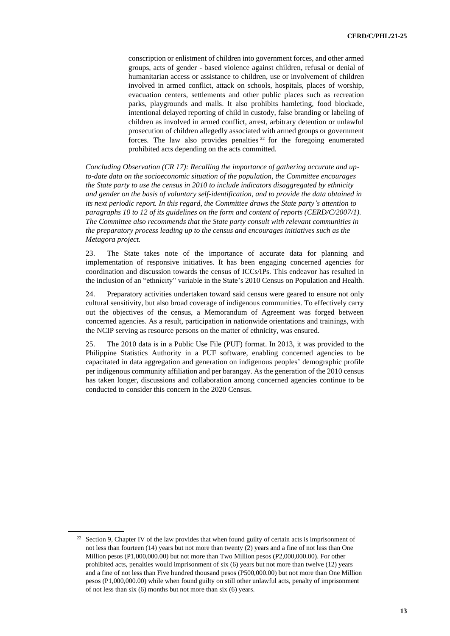conscription or enlistment of children into government forces, and other armed groups, acts of gender - based violence against children, refusal or denial of humanitarian access or assistance to children, use or involvement of children involved in armed conflict, attack on schools, hospitals, places of worship, evacuation centers, settlements and other public places such as recreation parks, playgrounds and malls. It also prohibits hamleting, food blockade, intentional delayed reporting of child in custody, false branding or labeling of children as involved in armed conflict, arrest, arbitrary detention or unlawful prosecution of children allegedly associated with armed groups or government forces. The law also provides penalties <sup>22</sup> for the foregoing enumerated prohibited acts depending on the acts committed.

*Concluding Observation (CR 17): Recalling the importance of gathering accurate and upto-date data on the socioeconomic situation of the population, the Committee encourages the State party to use the census in 2010 to include indicators disaggregated by ethnicity and gender on the basis of voluntary self-identification, and to provide the data obtained in its next periodic report. In this regard, the Committee draws the State party's attention to paragraphs 10 to 12 of its guidelines on the form and content of reports (CERD/C/2007/1). The Committee also recommends that the State party consult with relevant communities in the preparatory process leading up to the census and encourages initiatives such as the Metagora project.* 

23. The State takes note of the importance of accurate data for planning and implementation of responsive initiatives. It has been engaging concerned agencies for coordination and discussion towards the census of ICCs/IPs. This endeavor has resulted in the inclusion of an "ethnicity" variable in the State's 2010 Census on Population and Health.

24. Preparatory activities undertaken toward said census were geared to ensure not only cultural sensitivity, but also broad coverage of indigenous communities. To effectively carry out the objectives of the census, a Memorandum of Agreement was forged between concerned agencies. As a result, participation in nationwide orientations and trainings, with the NCIP serving as resource persons on the matter of ethnicity, was ensured.

25. The 2010 data is in a Public Use File (PUF) format. In 2013, it was provided to the Philippine Statistics Authority in a PUF software, enabling concerned agencies to be capacitated in data aggregation and generation on indigenous peoples' demographic profile per indigenous community affiliation and per barangay. As the generation of the 2010 census has taken longer, discussions and collaboration among concerned agencies continue to be conducted to consider this concern in the 2020 Census.

<sup>&</sup>lt;sup>22</sup> Section 9, Chapter IV of the law provides that when found guilty of certain acts is imprisonment of not less than fourteen (14) years but not more than twenty (2) years and a fine of not less than One Million pesos (P1,000,000.00) but not more than Two Million pesos (P2,000,000.00). For other prohibited acts, penalties would imprisonment of six (6) years but not more than twelve (12) years and a fine of not less than Five hundred thousand pesos (P500,000.00) but not more than One Million pesos (P1,000,000.00) while when found guilty on still other unlawful acts, penalty of imprisonment of not less than six (6) months but not more than six (6) years.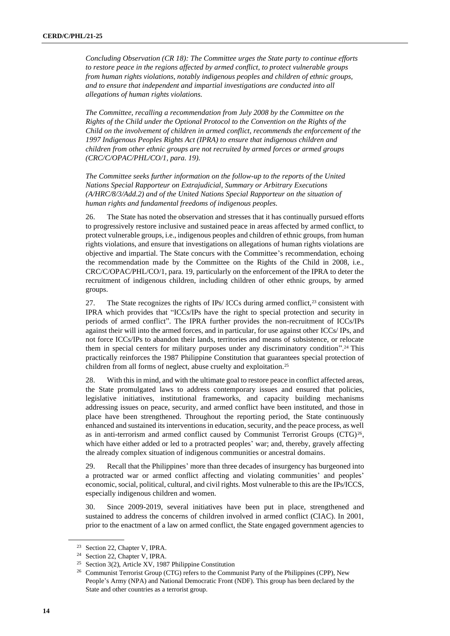*Concluding Observation (CR 18): The Committee urges the State party to continue efforts to restore peace in the regions affected by armed conflict, to protect vulnerable groups from human rights violations, notably indigenous peoples and children of ethnic groups, and to ensure that independent and impartial investigations are conducted into all allegations of human rights violations.* 

*The Committee, recalling a recommendation from July 2008 by the Committee on the Rights of the Child under the Optional Protocol to the Convention on the Rights of the Child on the involvement of children in armed conflict, recommends the enforcement of the 1997 Indigenous Peoples Rights Act (IPRA) to ensure that indigenous children and children from other ethnic groups are not recruited by armed forces or armed groups (CRC/C/OPAC/PHL/CO/1, para. 19).* 

*The Committee seeks further information on the follow-up to the reports of the United Nations Special Rapporteur on Extrajudicial, Summary or Arbitrary Executions (A/HRC/8/3/Add.2) and of the United Nations Special Rapporteur on the situation of human rights and fundamental freedoms of indigenous peoples.* 

26. The State has noted the observation and stresses that it has continually pursued efforts to progressively restore inclusive and sustained peace in areas affected by armed conflict, to protect vulnerable groups, i.e., indigenous peoples and children of ethnic groups, from human rights violations, and ensure that investigations on allegations of human rights violations are objective and impartial. The State concurs with the Committee's recommendation, echoing the recommendation made by the Committee on the Rights of the Child in 2008, i.e., CRC/C/OPAC/PHL/CO/1, para. 19, particularly on the enforcement of the IPRA to deter the recruitment of indigenous children, including children of other ethnic groups, by armed groups.

27. The State recognizes the rights of IPs/ ICCs during armed conflict,<sup>23</sup> consistent with IPRA which provides that "ICCs/IPs have the right to special protection and security in periods of armed conflict". The IPRA further provides the non-recruitment of ICCs/IPs against their will into the armed forces, and in particular, for use against other ICCs/ IPs, and not force ICCs/IPs to abandon their lands, territories and means of subsistence, or relocate them in special centers for military purposes under any discriminatory condition". <sup>24</sup> This practically reinforces the 1987 Philippine Constitution that guarantees special protection of children from all forms of neglect, abuse cruelty and exploitation.<sup>25</sup>

28. With this in mind, and with the ultimate goal to restore peace in conflict affected areas, the State promulgated laws to address contemporary issues and ensured that policies, legislative initiatives, institutional frameworks, and capacity building mechanisms addressing issues on peace, security, and armed conflict have been instituted, and those in place have been strengthened. Throughout the reporting period, the State continuously enhanced and sustained its interventions in education, security, and the peace process, as well as in anti-terrorism and armed conflict caused by Communist Terrorist Groups  $(CTG)^{26}$ , which have either added or led to a protracted peoples' war; and, thereby, gravely affecting the already complex situation of indigenous communities or ancestral domains.

29. Recall that the Philippines' more than three decades of insurgency has burgeoned into a protracted war or armed conflict affecting and violating communities' and peoples' economic, social, political, cultural, and civil rights. Most vulnerable to this are the IPs/ICCS, especially indigenous children and women.

30. Since 2009-2019, several initiatives have been put in place, strengthened and sustained to address the concerns of children involved in armed conflict (CIAC). In 2001, prior to the enactment of a law on armed conflict, the State engaged government agencies to

<sup>23</sup> Section 22, Chapter V, IPRA.

<sup>24</sup> Section 22, Chapter V, IPRA.

<sup>25</sup> Section 3(2), Article XV, 1987 Philippine Constitution

<sup>&</sup>lt;sup>26</sup> Communist Terrorist Group (CTG) refers to the Communist Party of the Philippines (CPP), New People's Army (NPA) and National Democratic Front (NDF). This group has been declared by the State and other countries as a terrorist group.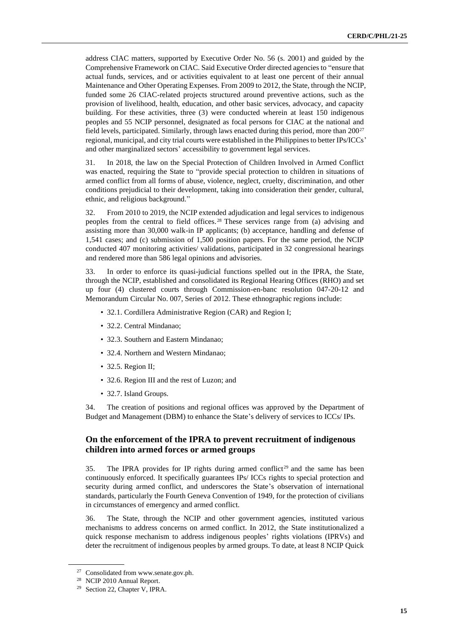address CIAC matters, supported by Executive Order No. 56 (s. 2001) and guided by the Comprehensive Framework on CIAC. Said Executive Order directed agencies to "ensure that actual funds, services, and or activities equivalent to at least one percent of their annual Maintenance and Other Operating Expenses. From 2009 to 2012, the State, through the NCIP, funded some 26 CIAC-related projects structured around preventive actions, such as the provision of livelihood, health, education, and other basic services, advocacy, and capacity building. For these activities, three (3) were conducted wherein at least 150 indigenous peoples and 55 NCIP personnel, designated as focal persons for CIAC at the national and field levels, participated. Similarly, through laws enacted during this period, more than  $200^{27}$ regional, municipal, and city trial courts were established in the Philippines to better IPs/ICCs' and other marginalized sectors' accessibility to government legal services.

31. In 2018, the law on the Special Protection of Children Involved in Armed Conflict was enacted, requiring the State to "provide special protection to children in situations of armed conflict from all forms of abuse, violence, neglect, cruelty, discrimination, and other conditions prejudicial to their development, taking into consideration their gender, cultural, ethnic, and religious background."

32. From 2010 to 2019, the NCIP extended adjudication and legal services to indigenous peoples from the central to field offices. <sup>28</sup> These services range from (a) advising and assisting more than 30,000 walk-in IP applicants; (b) acceptance, handling and defense of 1,541 cases; and (c) submission of 1,500 position papers. For the same period, the NCIP conducted 407 monitoring activities/ validations, participated in 32 congressional hearings and rendered more than 586 legal opinions and advisories.

33. In order to enforce its quasi-judicial functions spelled out in the IPRA, the State, through the NCIP, established and consolidated its Regional Hearing Offices (RHO) and set up four (4) clustered courts through Commission-en-banc resolution 047-20-12 and Memorandum Circular No. 007, Series of 2012. These ethnographic regions include:

- 32.1. Cordillera Administrative Region (CAR) and Region I;
- 32.2. Central Mindanao;
- 32.3. Southern and Eastern Mindanao;
- 32.4. Northern and Western Mindanao;
- 32.5. Region II;
- 32.6. Region III and the rest of Luzon; and
- 32.7. Island Groups.

34. The creation of positions and regional offices was approved by the Department of Budget and Management (DBM) to enhance the State's delivery of services to ICCs/ IPs.

#### **On the enforcement of the IPRA to prevent recruitment of indigenous children into armed forces or armed groups**

35. The IPRA provides for IP rights during armed conflict<sup>29</sup> and the same has been continuously enforced. It specifically guarantees IPs/ ICCs rights to special protection and security during armed conflict, and underscores the State's observation of international standards, particularly the Fourth Geneva Convention of 1949, for the protection of civilians in circumstances of emergency and armed conflict.

36. The State, through the NCIP and other government agencies, instituted various mechanisms to address concerns on armed conflict. In 2012, the State institutionalized a quick response mechanism to address indigenous peoples' rights violations (IPRVs) and deter the recruitment of indigenous peoples by armed groups. To date, at least 8 NCIP Quick

<sup>&</sup>lt;sup>27</sup> Consolidated from www.senate.gov.ph.

<sup>28</sup> NCIP 2010 Annual Report.

<sup>29</sup> Section 22, Chapter V, IPRA.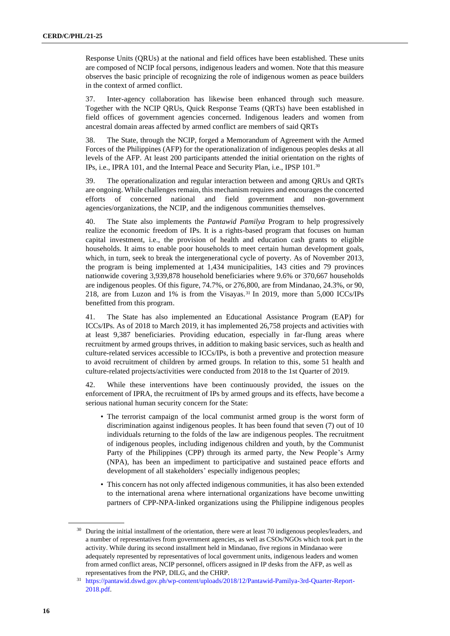Response Units (QRUs) at the national and field offices have been established. These units are composed of NCIP focal persons, indigenous leaders and women. Note that this measure observes the basic principle of recognizing the role of indigenous women as peace builders in the context of armed conflict.

37. Inter-agency collaboration has likewise been enhanced through such measure. Together with the NCIP QRUs, Quick Response Teams (QRTs) have been established in field offices of government agencies concerned. Indigenous leaders and women from ancestral domain areas affected by armed conflict are members of said QRTs

38. The State, through the NCIP, forged a Memorandum of Agreement with the Armed Forces of the Philippines (AFP) for the operationalization of indigenous peoples desks at all levels of the AFP. At least 200 participants attended the initial orientation on the rights of IPs, i.e., IPRA 101, and the Internal Peace and Security Plan, i.e., IPSP 101.<sup>30</sup>

39. The operationalization and regular interaction between and among QRUs and QRTs are ongoing. While challenges remain, this mechanism requires and encourages the concerted efforts of concerned national and field government and non-government agencies/organizations, the NCIP, and the indigenous communities themselves.

40. The State also implements the *Pantawid Pamilya* Program to help progressively realize the economic freedom of IPs. It is a rights-based program that focuses on human capital investment, i.e., the provision of health and education cash grants to eligible households. It aims to enable poor households to meet certain human development goals, which, in turn, seek to break the intergenerational cycle of poverty. As of November 2013, the program is being implemented at 1,434 municipalities, 143 cities and 79 provinces nationwide covering 3,939,878 household beneficiaries where 9.6% or 370,667 households are indigenous peoples. Of this figure, 74.7%, or 276,800, are from Mindanao, 24.3%, or 90, 218, are from Luzon and 1% is from the Visayas.<sup>31</sup> In 2019, more than 5,000 ICCs/IPs benefitted from this program.

41. The State has also implemented an Educational Assistance Program (EAP) for ICCs/IPs. As of 2018 to March 2019, it has implemented 26,758 projects and activities with at least 9,387 beneficiaries. Providing education, especially in far-flung areas where recruitment by armed groups thrives, in addition to making basic services, such as health and culture-related services accessible to ICCs/IPs, is both a preventive and protection measure to avoid recruitment of children by armed groups. In relation to this, some 51 health and culture-related projects/activities were conducted from 2018 to the 1st Quarter of 2019.

42. While these interventions have been continuously provided, the issues on the enforcement of IPRA, the recruitment of IPs by armed groups and its effects, have become a serious national human security concern for the State:

- The terrorist campaign of the local communist armed group is the worst form of discrimination against indigenous peoples. It has been found that seven (7) out of 10 individuals returning to the folds of the law are indigenous peoples. The recruitment of indigenous peoples, including indigenous children and youth, by the Communist Party of the Philippines (CPP) through its armed party, the New People's Army (NPA), has been an impediment to participative and sustained peace efforts and development of all stakeholders' especially indigenous peoples;
- This concern has not only affected indigenous communities, it has also been extended to the international arena where international organizations have become unwitting partners of CPP-NPA-linked organizations using the Philippine indigenous peoples

<sup>&</sup>lt;sup>30</sup> During the initial installment of the orientation, there were at least 70 indigenous peoples/leaders, and a number of representatives from government agencies, as well as CSOs/NGOs which took part in the activity. While during its second installment held in Mindanao, five regions in Mindanao were adequately represented by representatives of local government units, indigenous leaders and women from armed conflict areas, NCIP personnel, officers assigned in IP desks from the AFP, as well as representatives from the PNP, DILG, and the CHRP.

<sup>31</sup> [https://pantawid.dswd.gov.ph/wp-content/uploads/2018/12/Pantawid-Pamilya-3rd-Quarter-Report-](https://pantawid.dswd.gov.ph/wp-content/uploads/2018/12/Pantawid-Pamilya-3rd-Quarter-Report-2018.pdf)[2018.pdf.](https://pantawid.dswd.gov.ph/wp-content/uploads/2018/12/Pantawid-Pamilya-3rd-Quarter-Report-2018.pdf)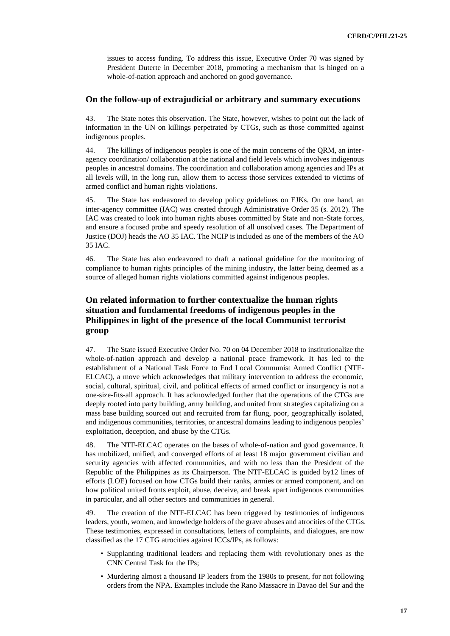issues to access funding. To address this issue, Executive Order 70 was signed by President Duterte in December 2018, promoting a mechanism that is hinged on a whole-of-nation approach and anchored on good governance.

#### **On the follow-up of extrajudicial or arbitrary and summary executions**

43. The State notes this observation. The State, however, wishes to point out the lack of information in the UN on killings perpetrated by CTGs, such as those committed against indigenous peoples.

44. The killings of indigenous peoples is one of the main concerns of the QRM, an interagency coordination/ collaboration at the national and field levels which involves indigenous peoples in ancestral domains. The coordination and collaboration among agencies and IPs at all levels will, in the long run, allow them to access those services extended to victims of armed conflict and human rights violations.

45. The State has endeavored to develop policy guidelines on EJKs. On one hand, an inter-agency committee (IAC) was created through Administrative Order 35 (s. 2012). The IAC was created to look into human rights abuses committed by State and non-State forces, and ensure a focused probe and speedy resolution of all unsolved cases. The Department of Justice (DOJ) heads the AO 35 IAC. The NCIP is included as one of the members of the AO 35 IAC.

46. The State has also endeavored to draft a national guideline for the monitoring of compliance to human rights principles of the mining industry, the latter being deemed as a source of alleged human rights violations committed against indigenous peoples.

## **On related information to further contextualize the human rights situation and fundamental freedoms of indigenous peoples in the Philippines in light of the presence of the local Communist terrorist group**

47. The State issued Executive Order No. 70 on 04 December 2018 to institutionalize the whole-of-nation approach and develop a national peace framework. It has led to the establishment of a National Task Force to End Local Communist Armed Conflict (NTF-ELCAC), a move which acknowledges that military intervention to address the economic, social, cultural, spiritual, civil, and political effects of armed conflict or insurgency is not a one-size-fits-all approach. It has acknowledged further that the operations of the CTGs are deeply rooted into party building, army building, and united front strategies capitalizing on a mass base building sourced out and recruited from far flung, poor, geographically isolated, and indigenous communities, territories, or ancestral domains leading to indigenous peoples' exploitation, deception, and abuse by the CTGs.

48. The NTF-ELCAC operates on the bases of whole-of-nation and good governance. It has mobilized, unified, and converged efforts of at least 18 major government civilian and security agencies with affected communities, and with no less than the President of the Republic of the Philippines as its Chairperson. The NTF-ELCAC is guided by12 lines of efforts (LOE) focused on how CTGs build their ranks, armies or armed component, and on how political united fronts exploit, abuse, deceive, and break apart indigenous communities in particular, and all other sectors and communities in general.

49. The creation of the NTF-ELCAC has been triggered by testimonies of indigenous leaders, youth, women, and knowledge holders of the grave abuses and atrocities of the CTGs. These testimonies, expressed in consultations, letters of complaints, and dialogues, are now classified as the 17 CTG atrocities against ICCs/IPs, as follows:

- Supplanting traditional leaders and replacing them with revolutionary ones as the CNN Central Task for the IPs;
- Murdering almost a thousand IP leaders from the 1980s to present, for not following orders from the NPA. Examples include the Rano Massacre in Davao del Sur and the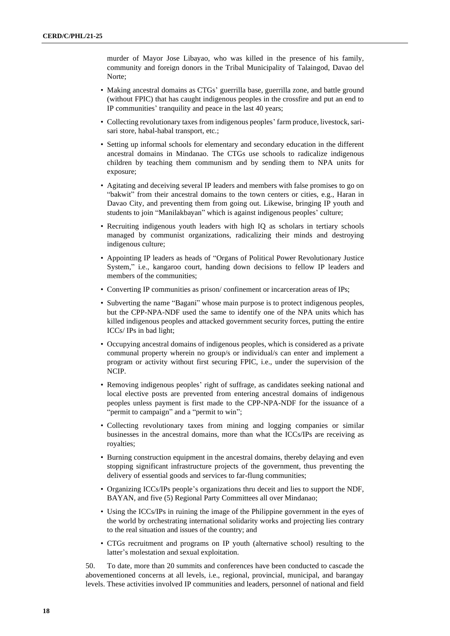murder of Mayor Jose Libayao, who was killed in the presence of his family, community and foreign donors in the Tribal Municipality of Talaingod, Davao del Norte;

- Making ancestral domains as CTGs' guerrilla base, guerrilla zone, and battle ground (without FPIC) that has caught indigenous peoples in the crossfire and put an end to IP communities' tranquility and peace in the last 40 years;
- Collecting revolutionary taxes from indigenous peoples' farm produce, livestock, sarisari store, habal-habal transport, etc.;
- Setting up informal schools for elementary and secondary education in the different ancestral domains in Mindanao. The CTGs use schools to radicalize indigenous children by teaching them communism and by sending them to NPA units for exposure;
- Agitating and deceiving several IP leaders and members with false promises to go on "bakwit" from their ancestral domains to the town centers or cities, e.g., Haran in Davao City, and preventing them from going out. Likewise, bringing IP youth and students to join "Manilakbayan" which is against indigenous peoples' culture;
- Recruiting indigenous youth leaders with high IQ as scholars in tertiary schools managed by communist organizations, radicalizing their minds and destroying indigenous culture;
- Appointing IP leaders as heads of "Organs of Political Power Revolutionary Justice System," i.e., kangaroo court, handing down decisions to fellow IP leaders and members of the communities;
- Converting IP communities as prison/ confinement or incarceration areas of IPs;
- Subverting the name "Bagani" whose main purpose is to protect indigenous peoples, but the CPP-NPA-NDF used the same to identify one of the NPA units which has killed indigenous peoples and attacked government security forces, putting the entire ICCs/ IPs in bad light;
- Occupying ancestral domains of indigenous peoples, which is considered as a private communal property wherein no group/s or individual/s can enter and implement a program or activity without first securing FPIC, i.e., under the supervision of the NCIP.
- Removing indigenous peoples' right of suffrage, as candidates seeking national and local elective posts are prevented from entering ancestral domains of indigenous peoples unless payment is first made to the CPP-NPA-NDF for the issuance of a "permit to campaign" and a "permit to win";
- Collecting revolutionary taxes from mining and logging companies or similar businesses in the ancestral domains, more than what the ICCs/IPs are receiving as royalties;
- Burning construction equipment in the ancestral domains, thereby delaying and even stopping significant infrastructure projects of the government, thus preventing the delivery of essential goods and services to far-flung communities;
- Organizing ICCs/IPs people's organizations thru deceit and lies to support the NDF, BAYAN, and five (5) Regional Party Committees all over Mindanao;
- Using the ICCs/IPs in ruining the image of the Philippine government in the eyes of the world by orchestrating international solidarity works and projecting lies contrary to the real situation and issues of the country; and
- CTGs recruitment and programs on IP youth (alternative school) resulting to the latter's molestation and sexual exploitation.

50. To date, more than 20 summits and conferences have been conducted to cascade the abovementioned concerns at all levels, i.e., regional, provincial, municipal, and barangay levels. These activities involved IP communities and leaders, personnel of national and field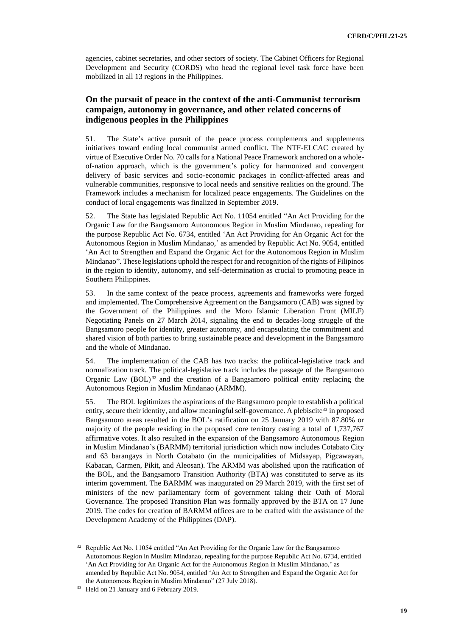agencies, cabinet secretaries, and other sectors of society. The Cabinet Officers for Regional Development and Security (CORDS) who head the regional level task force have been mobilized in all 13 regions in the Philippines.

### **On the pursuit of peace in the context of the anti-Communist terrorism campaign, autonomy in governance, and other related concerns of indigenous peoples in the Philippines**

51. The State's active pursuit of the peace process complements and supplements initiatives toward ending local communist armed conflict. The NTF-ELCAC created by virtue of Executive Order No. 70 calls for a National Peace Framework anchored on a wholeof-nation approach, which is the government's policy for harmonized and convergent delivery of basic services and socio-economic packages in conflict-affected areas and vulnerable communities, responsive to local needs and sensitive realities on the ground. The Framework includes a mechanism for localized peace engagements. The Guidelines on the conduct of local engagements was finalized in September 2019.

52. The State has legislated Republic Act No. 11054 entitled "An Act Providing for the Organic Law for the Bangsamoro Autonomous Region in Muslim Mindanao, repealing for the purpose Republic Act No. 6734, entitled 'An Act Providing for An Organic Act for the Autonomous Region in Muslim Mindanao,' as amended by Republic Act No. 9054, entitled 'An Act to Strengthen and Expand the Organic Act for the Autonomous Region in Muslim Mindanao". These legislations uphold the respect for and recognition of the rights of Filipinos in the region to identity, autonomy, and self-determination as crucial to promoting peace in Southern Philippines.

53. In the same context of the peace process, agreements and frameworks were forged and implemented. The Comprehensive Agreement on the Bangsamoro (CAB) was signed by the Government of the Philippines and the Moro Islamic Liberation Front (MILF) Negotiating Panels on 27 March 2014, signaling the end to decades-long struggle of the Bangsamoro people for identity, greater autonomy, and encapsulating the commitment and shared vision of both parties to bring sustainable peace and development in the Bangsamoro and the whole of Mindanao.

54. The implementation of the CAB has two tracks: the political-legislative track and normalization track. The political-legislative track includes the passage of the Bangsamoro Organic Law  $(BOL)^{32}$  and the creation of a Bangsamoro political entity replacing the Autonomous Region in Muslim Mindanao (ARMM).

55. The BOL legitimizes the aspirations of the Bangsamoro people to establish a political entity, secure their identity, and allow meaningful self-governance. A plebiscite<sup>33</sup> in proposed Bangsamoro areas resulted in the BOL's ratification on 25 January 2019 with 87.80% or majority of the people residing in the proposed core territory casting a total of 1,737,767 affirmative votes. It also resulted in the expansion of the Bangsamoro Autonomous Region in Muslim Mindanao's (BARMM) territorial jurisdiction which now includes Cotabato City and 63 barangays in North Cotabato (in the municipalities of Midsayap, Pigcawayan, Kabacan, Carmen, Pikit, and Aleosan). The ARMM was abolished upon the ratification of the BOL, and the Bangsamoro Transition Authority (BTA) was constituted to serve as its interim government. The BARMM was inaugurated on 29 March 2019, with the first set of ministers of the new parliamentary form of government taking their Oath of Moral Governance. The proposed Transition Plan was formally approved by the BTA on 17 June 2019. The codes for creation of BARMM offices are to be crafted with the assistance of the Development Academy of the Philippines (DAP).

<sup>&</sup>lt;sup>32</sup> Republic Act No. 11054 entitled "An Act Providing for the Organic Law for the Bangsamoro Autonomous Region in Muslim Mindanao, repealing for the purpose Republic Act No. 6734, entitled 'An Act Providing for An Organic Act for the Autonomous Region in Muslim Mindanao,' as amended by Republic Act No. 9054, entitled 'An Act to Strengthen and Expand the Organic Act for the Autonomous Region in Muslim Mindanao" (27 July 2018).

<sup>33</sup> Held on 21 January and 6 February 2019.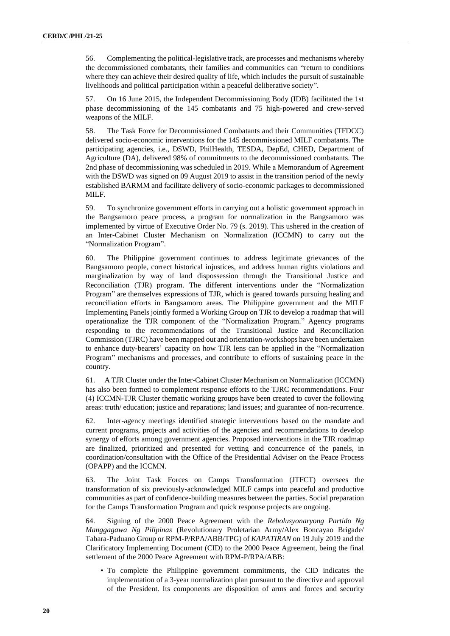56. Complementing the political-legislative track, are processes and mechanisms whereby the decommissioned combatants, their families and communities can "return to conditions where they can achieve their desired quality of life, which includes the pursuit of sustainable livelihoods and political participation within a peaceful deliberative society".

57. On 16 June 2015, the Independent Decommissioning Body (IDB) facilitated the 1st phase decommissioning of the 145 combatants and 75 high-powered and crew-served weapons of the MILF.

58. The Task Force for Decommissioned Combatants and their Communities (TFDCC) delivered socio-economic interventions for the 145 decommissioned MILF combatants. The participating agencies, i.e., DSWD, PhilHealth, TESDA, DepEd, CHED, Department of Agriculture (DA), delivered 98% of commitments to the decommissioned combatants. The 2nd phase of decommissioning was scheduled in 2019. While a Memorandum of Agreement with the DSWD was signed on 09 August 2019 to assist in the transition period of the newly established BARMM and facilitate delivery of socio-economic packages to decommissioned MILF.

59. To synchronize government efforts in carrying out a holistic government approach in the Bangsamoro peace process, a program for normalization in the Bangsamoro was implemented by virtue of Executive Order No. 79 (s. 2019). This ushered in the creation of an Inter-Cabinet Cluster Mechanism on Normalization (ICCMN) to carry out the "Normalization Program".

60. The Philippine government continues to address legitimate grievances of the Bangsamoro people, correct historical injustices, and address human rights violations and marginalization by way of land dispossession through the Transitional Justice and Reconciliation (TJR) program. The different interventions under the "Normalization Program" are themselves expressions of TJR, which is geared towards pursuing healing and reconciliation efforts in Bangsamoro areas. The Philippine government and the MILF Implementing Panels jointly formed a Working Group on TJR to develop a roadmap that will operationalize the TJR component of the "Normalization Program." Agency programs responding to the recommendations of the Transitional Justice and Reconciliation Commission (TJRC) have been mapped out and orientation-workshops have been undertaken to enhance duty-bearers' capacity on how TJR lens can be applied in the "Normalization Program" mechanisms and processes, and contribute to efforts of sustaining peace in the country.

61. A TJR Cluster under the Inter-Cabinet Cluster Mechanism on Normalization (ICCMN) has also been formed to complement response efforts to the TJRC recommendations. Four (4) ICCMN-TJR Cluster thematic working groups have been created to cover the following areas: truth/ education; justice and reparations; land issues; and guarantee of non-recurrence.

62. Inter-agency meetings identified strategic interventions based on the mandate and current programs, projects and activities of the agencies and recommendations to develop synergy of efforts among government agencies. Proposed interventions in the TJR roadmap are finalized, prioritized and presented for vetting and concurrence of the panels, in coordination/consultation with the Office of the Presidential Adviser on the Peace Process (OPAPP) and the ICCMN.

63. The Joint Task Forces on Camps Transformation (JTFCT) oversees the transformation of six previously-acknowledged MILF camps into peaceful and productive communities as part of confidence-building measures between the parties. Social preparation for the Camps Transformation Program and quick response projects are ongoing.

64. Signing of the 2000 Peace Agreement with the *Rebolusyonaryong Partido Ng Manggagawa Ng Pilipinas* (Revolutionary Proletarian Army/Alex Boncayao Brigade/ Tabara-Paduano Group or RPM-P/RPA/ABB/TPG) of *KAPATIRAN* on 19 July 2019 and the Clarificatory Implementing Document (CID) to the 2000 Peace Agreement, being the final settlement of the 2000 Peace Agreement with RPM-P/RPA/ABB:

• To complete the Philippine government commitments, the CID indicates the implementation of a 3-year normalization plan pursuant to the directive and approval of the President. Its components are disposition of arms and forces and security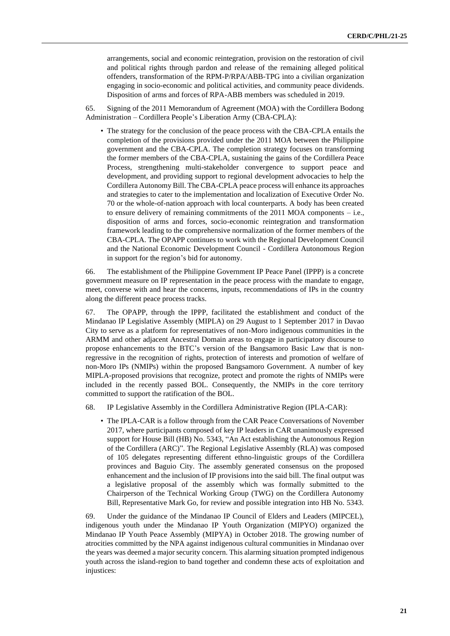arrangements, social and economic reintegration, provision on the restoration of civil and political rights through pardon and release of the remaining alleged political offenders, transformation of the RPM-P/RPA/ABB-TPG into a civilian organization engaging in socio-economic and political activities, and community peace dividends. Disposition of arms and forces of RPA-ABB members was scheduled in 2019.

65. Signing of the 2011 Memorandum of Agreement (MOA) with the Cordillera Bodong Administration – Cordillera People's Liberation Army (CBA-CPLA):

• The strategy for the conclusion of the peace process with the CBA-CPLA entails the completion of the provisions provided under the 2011 MOA between the Philippine government and the CBA-CPLA. The completion strategy focuses on transforming the former members of the CBA-CPLA, sustaining the gains of the Cordillera Peace Process, strengthening multi-stakeholder convergence to support peace and development, and providing support to regional development advocacies to help the Cordillera Autonomy Bill. The CBA-CPLA peace process will enhance its approaches and strategies to cater to the implementation and localization of Executive Order No. 70 or the whole-of-nation approach with local counterparts. A body has been created to ensure delivery of remaining commitments of the 2011 MOA components – i.e., disposition of arms and forces, socio-economic reintegration and transformation framework leading to the comprehensive normalization of the former members of the CBA-CPLA. The OPAPP continues to work with the Regional Development Council and the National Economic Development Council - Cordillera Autonomous Region in support for the region's bid for autonomy.

66. The establishment of the Philippine Government IP Peace Panel (IPPP) is a concrete government measure on IP representation in the peace process with the mandate to engage, meet, converse with and hear the concerns, inputs, recommendations of IPs in the country along the different peace process tracks.

67. The OPAPP, through the IPPP, facilitated the establishment and conduct of the Mindanao IP Legislative Assembly (MIPLA) on 29 August to 1 September 2017 in Davao City to serve as a platform for representatives of non-Moro indigenous communities in the ARMM and other adjacent Ancestral Domain areas to engage in participatory discourse to propose enhancements to the BTC's version of the Bangsamoro Basic Law that is nonregressive in the recognition of rights, protection of interests and promotion of welfare of non-Moro IPs (NMIPs) within the proposed Bangsamoro Government. A number of key MIPLA-proposed provisions that recognize, protect and promote the rights of NMIPs were included in the recently passed BOL. Consequently, the NMIPs in the core territory committed to support the ratification of the BOL.

68. IP Legislative Assembly in the Cordillera Administrative Region (IPLA-CAR):

• The IPLA-CAR is a follow through from the CAR Peace Conversations of November 2017, where participants composed of key IP leaders in CAR unanimously expressed support for House Bill (HB) No. 5343, "An Act establishing the Autonomous Region of the Cordillera (ARC)". The Regional Legislative Assembly (RLA) was composed of 105 delegates representing different ethno-linguistic groups of the Cordillera provinces and Baguio City. The assembly generated consensus on the proposed enhancement and the inclusion of IP provisions into the said bill. The final output was a legislative proposal of the assembly which was formally submitted to the Chairperson of the Technical Working Group (TWG) on the Cordillera Autonomy Bill, Representative Mark Go, for review and possible integration into HB No. 5343.

69. Under the guidance of the Mindanao IP Council of Elders and Leaders (MIPCEL), indigenous youth under the Mindanao IP Youth Organization (MIPYO) organized the Mindanao IP Youth Peace Assembly (MIPYA) in October 2018. The growing number of atrocities committed by the NPA against indigenous cultural communities in Mindanao over the years was deemed a major security concern. This alarming situation prompted indigenous youth across the island-region to band together and condemn these acts of exploitation and injustices: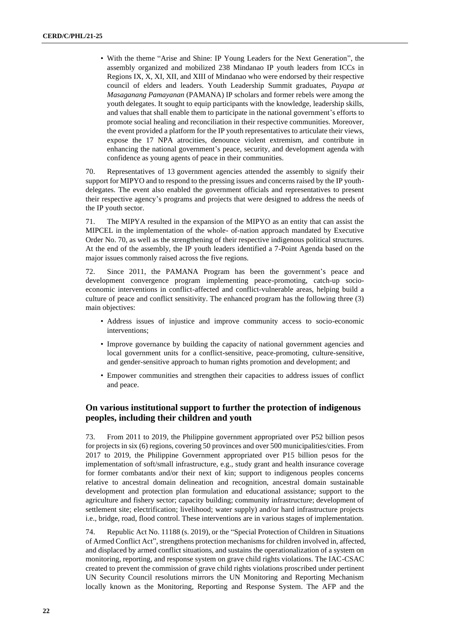• With the theme "Arise and Shine: IP Young Leaders for the Next Generation", the assembly organized and mobilized 238 Mindanao IP youth leaders from ICCs in Regions IX, X, XI, XII, and XIII of Mindanao who were endorsed by their respective council of elders and leaders. Youth Leadership Summit graduates, *Payapa at Masaganang Pamayanan* (PAMANA) IP scholars and former rebels were among the youth delegates. It sought to equip participants with the knowledge, leadership skills, and values that shall enable them to participate in the national government's efforts to promote social healing and reconciliation in their respective communities. Moreover, the event provided a platform for the IP youth representatives to articulate their views, expose the 17 NPA atrocities, denounce violent extremism, and contribute in enhancing the national government's peace, security, and development agenda with confidence as young agents of peace in their communities.

70. Representatives of 13 government agencies attended the assembly to signify their support for MIPYO and to respond to the pressing issues and concerns raised by the IP youthdelegates. The event also enabled the government officials and representatives to present their respective agency's programs and projects that were designed to address the needs of the IP youth sector.

71. The MIPYA resulted in the expansion of the MIPYO as an entity that can assist the MIPCEL in the implementation of the whole- of-nation approach mandated by Executive Order No. 70, as well as the strengthening of their respective indigenous political structures. At the end of the assembly, the IP youth leaders identified a 7-Point Agenda based on the major issues commonly raised across the five regions.

72. Since 2011, the PAMANA Program has been the government's peace and development convergence program implementing peace-promoting, catch-up socioeconomic interventions in conflict-affected and conflict-vulnerable areas, helping build a culture of peace and conflict sensitivity. The enhanced program has the following three (3) main objectives:

- Address issues of injustice and improve community access to socio-economic interventions;
- Improve governance by building the capacity of national government agencies and local government units for a conflict-sensitive, peace-promoting, culture-sensitive, and gender-sensitive approach to human rights promotion and development; and
- Empower communities and strengthen their capacities to address issues of conflict and peace.

### **On various institutional support to further the protection of indigenous peoples, including their children and youth**

73. From 2011 to 2019, the Philippine government appropriated over P52 billion pesos for projects in six (6) regions, covering 50 provinces and over 500 municipalities/cities. From 2017 to 2019, the Philippine Government appropriated over P15 billion pesos for the implementation of soft/small infrastructure, e.g., study grant and health insurance coverage for former combatants and/or their next of kin; support to indigenous peoples concerns relative to ancestral domain delineation and recognition, ancestral domain sustainable development and protection plan formulation and educational assistance; support to the agriculture and fishery sector; capacity building; community infrastructure; development of settlement site; electrification; livelihood; water supply) and/or hard infrastructure projects i.e., bridge, road, flood control. These interventions are in various stages of implementation.

74. Republic Act No. 11188 (s. 2019), or the "Special Protection of Children in Situations of Armed Conflict Act", strengthens protection mechanisms for children involved in, affected, and displaced by armed conflict situations, and sustains the operationalization of a system on monitoring, reporting, and response system on grave child rights violations. The IAC-CSAC created to prevent the commission of grave child rights violations proscribed under pertinent UN Security Council resolutions mirrors the UN Monitoring and Reporting Mechanism locally known as the Monitoring, Reporting and Response System. The AFP and the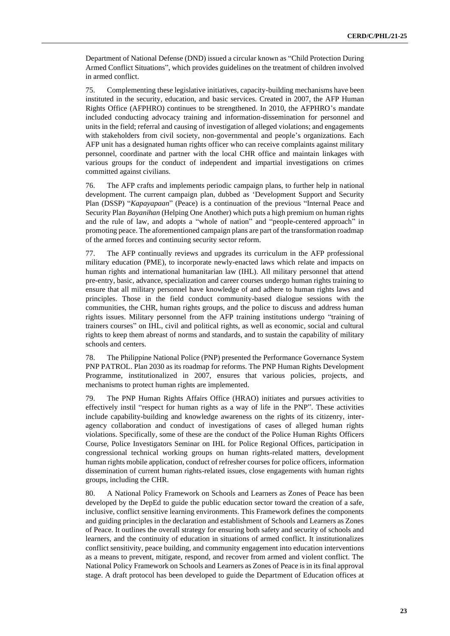Department of National Defense (DND) issued a circular known as "Child Protection During Armed Conflict Situations", which provides guidelines on the treatment of children involved in armed conflict.

75. Complementing these legislative initiatives, capacity-building mechanisms have been instituted in the security, education, and basic services. Created in 2007, the AFP Human Rights Office (AFPHRO) continues to be strengthened. In 2010, the AFPHRO's mandate included conducting advocacy training and information-dissemination for personnel and units in the field; referral and causing of investigation of alleged violations; and engagements with stakeholders from civil society, non-governmental and people's organizations. Each AFP unit has a designated human rights officer who can receive complaints against military personnel, coordinate and partner with the local CHR office and maintain linkages with various groups for the conduct of independent and impartial investigations on crimes committed against civilians.

76. The AFP crafts and implements periodic campaign plans, to further help in national development. The current campaign plan, dubbed as 'Development Support and Security Plan (DSSP) "*Kapayapaan*" (Peace) is a continuation of the previous "Internal Peace and Security Plan *Bayanihan* (Helping One Another) which puts a high premium on human rights and the rule of law, and adopts a "whole of nation" and "people-centered approach" in promoting peace. The aforementioned campaign plans are part of the transformation roadmap of the armed forces and continuing security sector reform.

77. The AFP continually reviews and upgrades its curriculum in the AFP professional military education (PME), to incorporate newly-enacted laws which relate and impacts on human rights and international humanitarian law (IHL). All military personnel that attend pre-entry, basic, advance, specialization and career courses undergo human rights training to ensure that all military personnel have knowledge of and adhere to human rights laws and principles. Those in the field conduct community-based dialogue sessions with the communities, the CHR, human rights groups, and the police to discuss and address human rights issues. Military personnel from the AFP training institutions undergo "training of trainers courses" on IHL, civil and political rights, as well as economic, social and cultural rights to keep them abreast of norms and standards, and to sustain the capability of military schools and centers.

78. The Philippine National Police (PNP) presented the Performance Governance System PNP PATROL. Plan 2030 as its roadmap for reforms. The PNP Human Rights Development Programme, institutionalized in 2007, ensures that various policies, projects, and mechanisms to protect human rights are implemented.

79. The PNP Human Rights Affairs Office (HRAO) initiates and pursues activities to effectively instil "respect for human rights as a way of life in the PNP". These activities include capability-building and knowledge awareness on the rights of its citizenry, interagency collaboration and conduct of investigations of cases of alleged human rights violations. Specifically, some of these are the conduct of the Police Human Rights Officers Course, Police Investigators Seminar on IHL for Police Regional Offices, participation in congressional technical working groups on human rights-related matters, development human rights mobile application, conduct of refresher courses for police officers, information dissemination of current human rights-related issues, close engagements with human rights groups, including the CHR.

80. A National Policy Framework on Schools and Learners as Zones of Peace has been developed by the DepEd to guide the public education sector toward the creation of a safe, inclusive, conflict sensitive learning environments. This Framework defines the components and guiding principles in the declaration and establishment of Schools and Learners as Zones of Peace. It outlines the overall strategy for ensuring both safety and security of schools and learners, and the continuity of education in situations of armed conflict. It institutionalizes conflict sensitivity, peace building, and community engagement into education interventions as a means to prevent, mitigate, respond, and recover from armed and violent conflict. The National Policy Framework on Schools and Learners as Zones of Peace is in its final approval stage. A draft protocol has been developed to guide the Department of Education offices at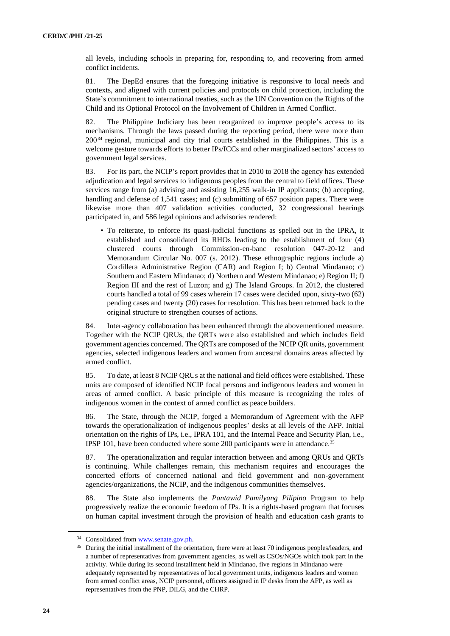all levels, including schools in preparing for, responding to, and recovering from armed conflict incidents.

81. The DepEd ensures that the foregoing initiative is responsive to local needs and contexts, and aligned with current policies and protocols on child protection, including the State's commitment to international treaties, such as the UN Convention on the Rights of the Child and its Optional Protocol on the Involvement of Children in Armed Conflict.

82. The Philippine Judiciary has been reorganized to improve people's access to its mechanisms. Through the laws passed during the reporting period, there were more than 200<sup>34</sup> regional, municipal and city trial courts established in the Philippines. This is a welcome gesture towards efforts to better IPs/ICCs and other marginalized sectors' access to government legal services.

83. For its part, the NCIP's report provides that in 2010 to 2018 the agency has extended adjudication and legal services to indigenous peoples from the central to field offices. These services range from (a) advising and assisting 16,255 walk-in IP applicants; (b) accepting, handling and defense of 1,541 cases; and (c) submitting of 657 position papers. There were likewise more than 407 validation activities conducted, 32 congressional hearings participated in, and 586 legal opinions and advisories rendered:

• To reiterate, to enforce its quasi-judicial functions as spelled out in the IPRA, it established and consolidated its RHOs leading to the establishment of four (4) clustered courts through Commission-en-banc resolution 047-20-12 and Memorandum Circular No. 007 (s. 2012). These ethnographic regions include a) Cordillera Administrative Region (CAR) and Region I; b) Central Mindanao; c) Southern and Eastern Mindanao; d) Northern and Western Mindanao; e) Region II; f) Region III and the rest of Luzon; and g) The Island Groups. In 2012, the clustered courts handled a total of 99 cases wherein 17 cases were decided upon, sixty-two (62) pending cases and twenty (20) cases for resolution. This has been returned back to the original structure to strengthen courses of actions.

84. Inter-agency collaboration has been enhanced through the abovementioned measure. Together with the NCIP QRUs, the QRTs were also established and which includes field government agencies concerned. The QRTs are composed of the NCIP QR units, government agencies, selected indigenous leaders and women from ancestral domains areas affected by armed conflict.

85. To date, at least 8 NCIP QRUs at the national and field offices were established. These units are composed of identified NCIP focal persons and indigenous leaders and women in areas of armed conflict. A basic principle of this measure is recognizing the roles of indigenous women in the context of armed conflict as peace builders.

86. The State, through the NCIP, forged a Memorandum of Agreement with the AFP towards the operationalization of indigenous peoples' desks at all levels of the AFP. Initial orientation on the rights of IPs, i.e., IPRA 101, and the Internal Peace and Security Plan, i.e., IPSP 101, have been conducted where some 200 participants were in attendance.<sup>35</sup>

87. The operationalization and regular interaction between and among QRUs and QRTs is continuing. While challenges remain, this mechanism requires and encourages the concerted efforts of concerned national and field government and non-government agencies/organizations, the NCIP, and the indigenous communities themselves.

88. The State also implements the *Pantawid Pamilyang Pilipino* Program to help progressively realize the economic freedom of IPs. It is a rights-based program that focuses on human capital investment through the provision of health and education cash grants to

<sup>&</sup>lt;sup>34</sup> Consolidated from [www.senate.gov.ph.](http://www.senate.gov.ph/)

<sup>&</sup>lt;sup>35</sup> During the initial installment of the orientation, there were at least 70 indigenous peoples/leaders, and a number of representatives from government agencies, as well as CSOs/NGOs which took part in the activity. While during its second installment held in Mindanao, five regions in Mindanao were adequately represented by representatives of local government units, indigenous leaders and women from armed conflict areas, NCIP personnel, officers assigned in IP desks from the AFP, as well as representatives from the PNP, DILG, and the CHRP.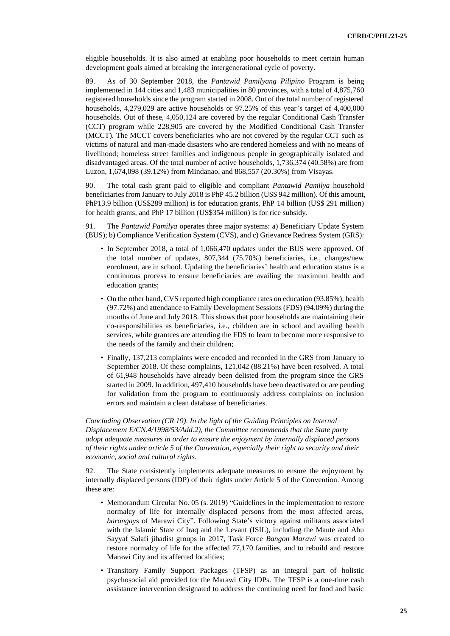eligible households. It is also aimed at enabling poor households to meet certain human development goals aimed at breaking the intergenerational cycle of poverty.

89. As of 30 September 2018, the *Pantawid Pamilyang Pilipino* Program is being implemented in 144 cities and 1,483 municipalities in 80 provinces, with a total of 4,875,760 registered households since the program started in 2008. Out of the total number of registered households, 4,279,029 are active households or 97.25% of this year's target of 4,400,000 households. Out of these, 4,050,124 are covered by the regular Conditional Cash Transfer (CCT) program while 228,905 are covered by the Modified Conditional Cash Transfer (MCCT). The MCCT covers beneficiaries who are not covered by the regular CCT such as victims of natural and man-made disasters who are rendered homeless and with no means of livelihood; homeless street families and indigenous people in geographically isolated and disadvantaged areas. Of the total number of active households, 1,736,374 (40.58%) are from Luzon, 1,674,098 (39.12%) from Mindanao, and 868,557 (20.30%) from Visayas.

90. The total cash grant paid to eligible and compliant *Pantawid Pamilya* household beneficiaries from January to July 2018 is PhP 45.2 billion (US\$ 942 million). Of this amount, PhP13.9 billion (US\$289 million) is for education grants, PhP 14 billion (US\$ 291 million) for health grants, and PhP 17 billion (US\$354 million) is for rice subsidy.

91. The *Pantawid Pamilya* operates three major systems: a) Beneficiary Update System (BUS); b) Compliance Verification System (CVS), and c) Grievance Redress System (GRS):

- In September 2018, a total of 1,066,470 updates under the BUS were approved. Of the total number of updates, 807,344 (75.70%) beneficiaries, i.e., changes/new enrolment, are in school. Updating the beneficiaries' health and education status is a continuous process to ensure beneficiaries are availing the maximum health and education grants;
- On the other hand, CVS reported high compliance rates on education (93.85%), health (97.72%) and attendance to Family Development Sessions (FDS) (94.09%) during the months of June and July 2018. This shows that poor households are maintaining their co-responsibilities as beneficiaries, i.e., children are in school and availing health services, while grantees are attending the FDS to learn to become more responsive to the needs of the family and their children;
- Finally, 137,213 complaints were encoded and recorded in the GRS from January to September 2018. Of these complaints, 121,042 (88.21%) have been resolved. A total of 61,948 households have already been delisted from the program since the GRS started in 2009. In addition, 497,410 households have been deactivated or are pending for validation from the program to continuously address complaints on inclusion errors and maintain a clean database of beneficiaries.

*Concluding Observation (CR 19). In the light of the Guiding Principles on Internal Displacement E/CN.4/1998/53/Add.2), the Committee recommends that the State party adopt adequate measures in order to ensure the enjoyment by internally displaced persons of their rights under article 5 of the Convention, especially their right to security and their economic, social and cultural rights.* 

92. The State consistently implements adequate measures to ensure the enjoyment by internally displaced persons (IDP) of their rights under Article 5 of the Convention. Among these are:

- Memorandum Circular No. 05 (s. 2019) "Guidelines in the implementation to restore normalcy of life for internally displaced persons from the most affected areas, *barangay*s of Marawi City". Following State's victory against militants associated with the Islamic State of Iraq and the Levant (ISIL), including the Maute and Abu Sayyaf Salafi jihadist groups in 2017, Task Force *Bangon Marawi* was created to restore normalcy of life for the affected 77,170 families, and to rebuild and restore Marawi City and its affected localities;
- Transitory Family Support Packages (TFSP) as an integral part of holistic psychosocial aid provided for the Marawi City IDPs. The TFSP is a one-time cash assistance intervention designated to address the continuing need for food and basic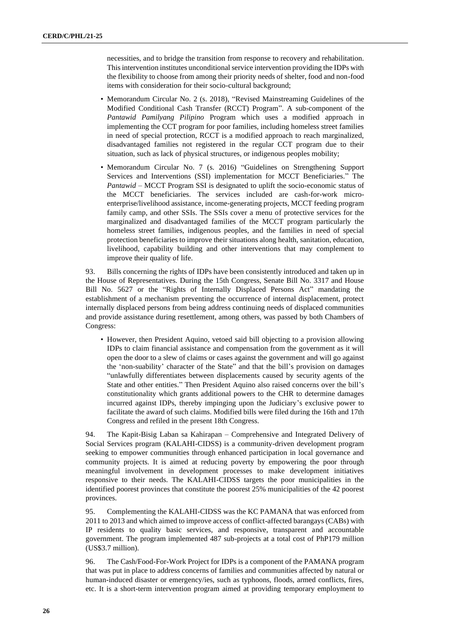necessities, and to bridge the transition from response to recovery and rehabilitation. This intervention institutes unconditional service intervention providing the IDPs with the flexibility to choose from among their priority needs of shelter, food and non-food items with consideration for their socio-cultural background;

- Memorandum Circular No. 2 (s. 2018), "Revised Mainstreaming Guidelines of the Modified Conditional Cash Transfer (RCCT) Program". A sub-component of the *Pantawid Pamilyang Pilipino* Program which uses a modified approach in implementing the CCT program for poor families, including homeless street families in need of special protection, RCCT is a modified approach to reach marginalized, disadvantaged families not registered in the regular CCT program due to their situation, such as lack of physical structures, or indigenous peoples mobility;
- Memorandum Circular No. 7 (s. 2016) "Guidelines on Strengthening Support Services and Interventions (SSI) implementation for MCCT Beneficiaries." The *Pantawid* – MCCT Program SSI is designated to uplift the socio-economic status of the MCCT beneficiaries. The services included are cash-for-work microenterprise/livelihood assistance, income-generating projects, MCCT feeding program family camp, and other SSIs. The SSIs cover a menu of protective services for the marginalized and disadvantaged families of the MCCT program particularly the homeless street families, indigenous peoples, and the families in need of special protection beneficiaries to improve their situations along health, sanitation, education, livelihood, capability building and other interventions that may complement to improve their quality of life.

93. Bills concerning the rights of IDPs have been consistently introduced and taken up in the House of Representatives. During the 15th Congress, Senate Bill No. 3317 and House Bill No. 5627 or the "Rights of Internally Displaced Persons Act" mandating the establishment of a mechanism preventing the occurrence of internal displacement, protect internally displaced persons from being address continuing needs of displaced communities and provide assistance during resettlement, among others, was passed by both Chambers of Congress:

• However, then President Aquino, vetoed said bill objecting to a provision allowing IDPs to claim financial assistance and compensation from the government as it will open the door to a slew of claims or cases against the government and will go against the 'non-suability' character of the State" and that the bill's provision on damages "unlawfully differentiates between displacements caused by security agents of the State and other entities." Then President Aquino also raised concerns over the bill's constitutionality which grants additional powers to the CHR to determine damages incurred against IDPs, thereby impinging upon the Judiciary's exclusive power to facilitate the award of such claims. Modified bills were filed during the 16th and 17th Congress and refiled in the present 18th Congress.

94. The Kapit-Bisig Laban sa Kahirapan – Comprehensive and Integrated Delivery of Social Services program (KALAHI-CIDSS) is a community-driven development program seeking to empower communities through enhanced participation in local governance and community projects. It is aimed at reducing poverty by empowering the poor through meaningful involvement in development processes to make development initiatives responsive to their needs. The KALAHI-CIDSS targets the poor municipalities in the identified poorest provinces that constitute the poorest 25% municipalities of the 42 poorest provinces.

95. Complementing the KALAHI-CIDSS was the KC PAMANA that was enforced from 2011 to 2013 and which aimed to improve access of conflict-affected barangays (CABs) with IP residents to quality basic services, and responsive, transparent and accountable government. The program implemented 487 sub-projects at a total cost of PhP179 million (US\$3.7 million).

96. The Cash/Food-For-Work Project for IDPs is a component of the PAMANA program that was put in place to address concerns of families and communities affected by natural or human-induced disaster or emergency/ies, such as typhoons, floods, armed conflicts, fires, etc. It is a short-term intervention program aimed at providing temporary employment to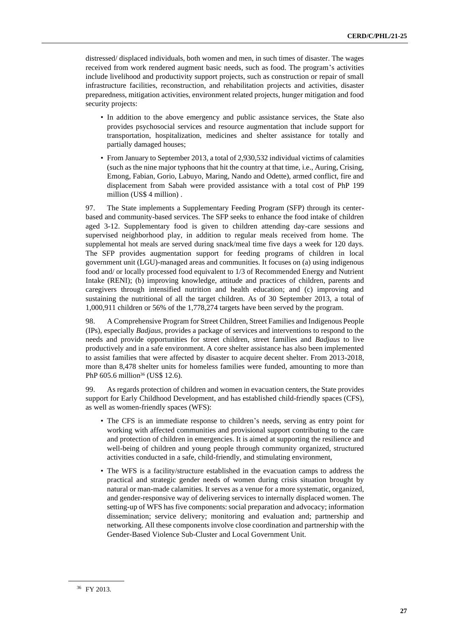distressed/ displaced individuals, both women and men, in such times of disaster. The wages received from work rendered augment basic needs, such as food. The program's activities include livelihood and productivity support projects, such as construction or repair of small infrastructure facilities, reconstruction, and rehabilitation projects and activities, disaster preparedness, mitigation activities, environment related projects, hunger mitigation and food security projects:

- In addition to the above emergency and public assistance services, the State also provides psychosocial services and resource augmentation that include support for transportation, hospitalization, medicines and shelter assistance for totally and partially damaged houses;
- From January to September 2013, a total of 2,930,532 individual victims of calamities (such as the nine major typhoons that hit the country at that time, i.e., Auring, Crising, Emong, Fabian, Gorio, Labuyo, Maring, Nando and Odette), armed conflict, fire and displacement from Sabah were provided assistance with a total cost of PhP 199 million (US\$ 4 million) .

97. The State implements a Supplementary Feeding Program (SFP) through its centerbased and community-based services. The SFP seeks to enhance the food intake of children aged 3-12. Supplementary food is given to children attending day-care sessions and supervised neighborhood play, in addition to regular meals received from home. The supplemental hot meals are served during snack/meal time five days a week for 120 days. The SFP provides augmentation support for feeding programs of children in local government unit (LGU)-managed areas and communities. It focuses on (a) using indigenous food and/ or locally processed food equivalent to 1/3 of Recommended Energy and Nutrient Intake (RENI); (b) improving knowledge, attitude and practices of children, parents and caregivers through intensified nutrition and health education; and (c) improving and sustaining the nutritional of all the target children. As of 30 September 2013, a total of 1,000,911 children or 56% of the 1,778,274 targets have been served by the program.

98. A Comprehensive Program for Street Children, Street Families and Indigenous People (IPs), especially *Badjaus*, provides a package of services and interventions to respond to the needs and provide opportunities for street children, street families and *Badjaus* to live productively and in a safe environment. A core shelter assistance has also been implemented to assist families that were affected by disaster to acquire decent shelter. From 2013-2018, more than 8,478 shelter units for homeless families were funded, amounting to more than PhP 605.6 million<sup>36</sup> (US\$ 12.6).

99. As regards protection of children and women in evacuation centers, the State provides support for Early Childhood Development, and has established child-friendly spaces (CFS), as well as women-friendly spaces (WFS):

- The CFS is an immediate response to children's needs, serving as entry point for working with affected communities and provisional support contributing to the care and protection of children in emergencies. It is aimed at supporting the resilience and well-being of children and young people through community organized, structured activities conducted in a safe, child-friendly, and stimulating environment,
- The WFS is a facility/structure established in the evacuation camps to address the practical and strategic gender needs of women during crisis situation brought by natural or man-made calamities. It serves as a venue for a more systematic, organized, and gender-responsive way of delivering services to internally displaced women. The setting-up of WFS has five components: social preparation and advocacy; information dissemination; service delivery; monitoring and evaluation and; partnership and networking. All these components involve close coordination and partnership with the Gender-Based Violence Sub-Cluster and Local Government Unit.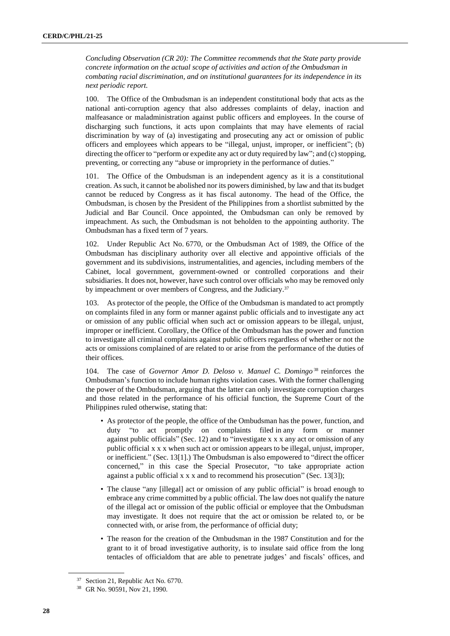*Concluding Observation (CR 20): The Committee recommends that the State party provide concrete information on the actual scope of activities and action of the Ombudsman in combating racial discrimination, and on institutional guarantees for its independence in its next periodic report.*

100. The Office of the Ombudsman is an independent constitutional body that acts as the national anti-corruption agency that also addresses complaints of delay, inaction and malfeasance or maladministration against public officers and employees. In the course of discharging such functions, it acts upon complaints that may have elements of racial discrimination by way of (a) investigating and prosecuting any act or omission of public officers and employees which appears to be "illegal, unjust, improper, or inefficient"; (b) directing the officer to "perform or expedite any act or duty required by law"; and (c) stopping, preventing, or correcting any "abuse or impropriety in the performance of duties."

101. The Office of the Ombudsman is an independent agency as it is a constitutional creation. As such, it cannot be abolished nor its powers diminished, by law and that its budget cannot be reduced by Congress as it has fiscal autonomy. The head of the Office, the Ombudsman, is chosen by the President of the Philippines from a shortlist submitted by the Judicial and Bar Council. Once appointed, the Ombudsman can only be removed by impeachment. As such, the Ombudsman is not beholden to the appointing authority. The Ombudsman has a fixed term of 7 years.

102. Under Republic Act No. 6770, or the Ombudsman Act of 1989, the Office of the Ombudsman has disciplinary authority over all elective and appointive officials of the government and its subdivisions, instrumentalities, and agencies, including members of the Cabinet, local government, government-owned or controlled corporations and their subsidiaries. It does not, however, have such control over officials who may be removed only by impeachment or over members of Congress, and the Judiciary.<sup>37</sup>

103. As protector of the people, the Office of the Ombudsman is mandated to act promptly on complaints filed in any form or manner against public officials and to investigate any act or omission of any public official when such act or omission appears to be illegal, unjust, improper or inefficient. Corollary, the Office of the Ombudsman has the power and function to investigate all criminal complaints against public officers regardless of whether or not the acts or omissions complained of are related to or arise from the performance of the duties of their offices.

104. The case of *Governor Amor D. Deloso v. Manuel C. Domingo* <sup>38</sup> reinforces the Ombudsman's function to include human rights violation cases. With the former challenging the power of the Ombudsman, arguing that the latter can only investigate corruption charges and those related in the performance of his official function, the Supreme Court of the Philippines ruled otherwise, stating that:

- As protector of the people, the office of the Ombudsman has the power, function, and duty "to act promptly on complaints filed in any form or manner against public officials" (Sec. 12) and to "investigate x x x any act or omission of any public official x x x when such act or omission appears to be illegal, unjust, improper, or inefficient." (Sec. 13[1].) The Ombudsman is also empowered to "direct the officer concerned," in this case the Special Prosecutor, "to take appropriate action against a public official x x x and to recommend his prosecution" (Sec. 13[3]);
- The clause "any [illegal] act or omission of any public official" is broad enough to embrace any crime committed by a public official. The law does not qualify the nature of the illegal act or omission of the public official or employee that the Ombudsman may investigate. It does not require that the act or omission be related to, or be connected with, or arise from, the performance of official duty;
- The reason for the creation of the Ombudsman in the 1987 Constitution and for the grant to it of broad investigative authority, is to insulate said office from the long tentacles of officialdom that are able to penetrate judges' and fiscals' offices, and

<sup>37</sup> Section 21, Republic Act No. 6770.

<sup>38</sup> GR No. 90591, Nov 21, 1990.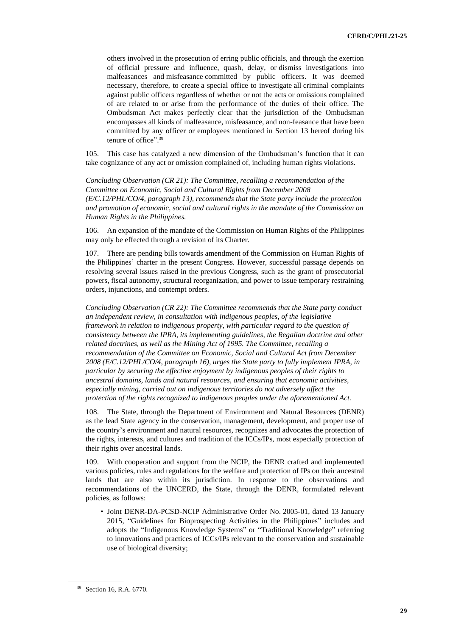others involved in the prosecution of erring public officials, and through the exertion of official pressure and influence, quash, delay, or dismiss investigations into malfeasances and misfeasance committed by public officers. It was deemed necessary, therefore, to create a special office to investigate all criminal complaints against public officers regardless of whether or not the acts or omissions complained of are related to or arise from the performance of the duties of their office. The Ombudsman Act makes perfectly clear that the jurisdiction of the Ombudsman encompasses all kinds of malfeasance, misfeasance, and non-feasance that have been committed by any officer or employees mentioned in Section 13 hereof during his tenure of office". 39

105. This case has catalyzed a new dimension of the Ombudsman's function that it can take cognizance of any act or omission complained of, including human rights violations.

*Concluding Observation (CR 21): The Committee, recalling a recommendation of the Committee on Economic, Social and Cultural Rights from December 2008 (E/C.12/PHL/CO/4, paragraph 13), recommends that the State party include the protection and promotion of economic, social and cultural rights in the mandate of the Commission on Human Rights in the Philippines.* 

106. An expansion of the mandate of the Commission on Human Rights of the Philippines may only be effected through a revision of its Charter.

107. There are pending bills towards amendment of the Commission on Human Rights of the Philippines' charter in the present Congress. However, successful passage depends on resolving several issues raised in the previous Congress, such as the grant of prosecutorial powers, fiscal autonomy, structural reorganization, and power to issue temporary restraining orders, injunctions, and contempt orders.

*Concluding Observation (CR 22): The Committee recommends that the State party conduct an independent review, in consultation with indigenous peoples, of the legislative framework in relation to indigenous property, with particular regard to the question of consistency between the IPRA, its implementing guidelines, the Regalian doctrine and other related doctrines, as well as the Mining Act of 1995. The Committee, recalling a recommendation of the Committee on Economic, Social and Cultural Act from December 2008 (E/C.12/PHL/CO/4, paragraph 16), urges the State party to fully implement IPRA, in particular by securing the effective enjoyment by indigenous peoples of their rights to ancestral domains, lands and natural resources, and ensuring that economic activities, especially mining, carried out on indigenous territories do not adversely affect the protection of the rights recognized to indigenous peoples under the aforementioned Act.* 

108. The State, through the Department of Environment and Natural Resources (DENR) as the lead State agency in the conservation, management, development, and proper use of the country's environment and natural resources, recognizes and advocates the protection of the rights, interests, and cultures and tradition of the ICCs/IPs, most especially protection of their rights over ancestral lands.

109. With cooperation and support from the NCIP, the DENR crafted and implemented various policies, rules and regulations for the welfare and protection of IPs on their ancestral lands that are also within its jurisdiction. In response to the observations and recommendations of the UNCERD, the State, through the DENR, formulated relevant policies, as follows:

• Joint DENR-DA-PCSD-NCIP Administrative Order No. 2005-01, dated 13 January 2015, "Guidelines for Bioprospecting Activities in the Philippines" includes and adopts the "Indigenous Knowledge Systems" or "Traditional Knowledge" referring to innovations and practices of ICCs/IPs relevant to the conservation and sustainable use of biological diversity;

<sup>39</sup> Section 16, R.A. 6770.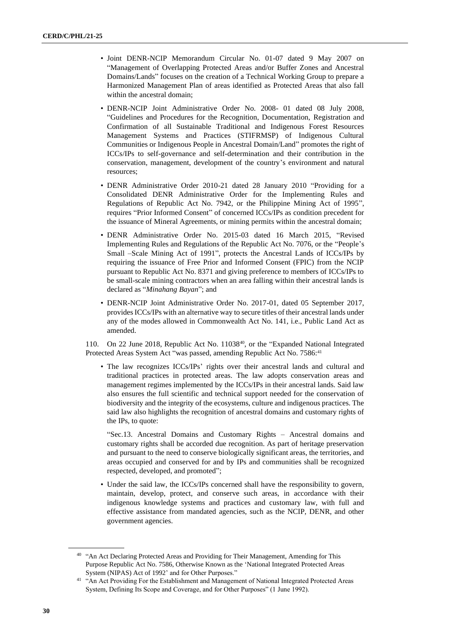- Joint DENR-NCIP Memorandum Circular No. 01-07 dated 9 May 2007 on "Management of Overlapping Protected Areas and/or Buffer Zones and Ancestral Domains/Lands" focuses on the creation of a Technical Working Group to prepare a Harmonized Management Plan of areas identified as Protected Areas that also fall within the ancestral domain;
- DENR-NCIP Joint Administrative Order No. 2008- 01 dated 08 July 2008, "Guidelines and Procedures for the Recognition, Documentation, Registration and Confirmation of all Sustainable Traditional and Indigenous Forest Resources Management Systems and Practices (STIFRMSP) of Indigenous Cultural Communities or Indigenous People in Ancestral Domain/Land" promotes the right of ICCs/IPs to self-governance and self-determination and their contribution in the conservation, management, development of the country's environment and natural resources;
- DENR Administrative Order 2010-21 dated 28 January 2010 "Providing for a Consolidated DENR Administrative Order for the Implementing Rules and Regulations of Republic Act No. 7942, or the Philippine Mining Act of 1995", requires "Prior Informed Consent" of concerned ICCs/IPs as condition precedent for the issuance of Mineral Agreements, or mining permits within the ancestral domain;
- DENR Administrative Order No. 2015-03 dated 16 March 2015, "Revised Implementing Rules and Regulations of the Republic Act No. 7076, or the "People's Small –Scale Mining Act of 1991", protects the Ancestral Lands of ICCs/IPs by requiring the issuance of Free Prior and Informed Consent (FPIC) from the NCIP pursuant to Republic Act No. 8371 and giving preference to members of ICCs/IPs to be small-scale mining contractors when an area falling within their ancestral lands is declared as "*Minahang Bayan*"; and
- DENR-NCIP Joint Administrative Order No. 2017-01, dated 05 September 2017, provides ICCs/IPs with an alternative way to secure titles of their ancestral lands under any of the modes allowed in Commonwealth Act No. 141, i.e., Public Land Act as amended.

110. On 22 June 2018, Republic Act No. 1103840, or the "Expanded National Integrated Protected Areas System Act "was passed, amending Republic Act No. 7586:41

• The law recognizes ICCs/IPs' rights over their ancestral lands and cultural and traditional practices in protected areas. The law adopts conservation areas and management regimes implemented by the ICCs/IPs in their ancestral lands. Said law also ensures the full scientific and technical support needed for the conservation of biodiversity and the integrity of the ecosystems, culture and indigenous practices. The said law also highlights the recognition of ancestral domains and customary rights of the IPs, to quote:

"Sec.13. Ancestral Domains and Customary Rights – Ancestral domains and customary rights shall be accorded due recognition. As part of heritage preservation and pursuant to the need to conserve biologically significant areas, the territories, and areas occupied and conserved for and by IPs and communities shall be recognized respected, developed, and promoted";

• Under the said law, the ICCs/IPs concerned shall have the responsibility to govern, maintain, develop, protect, and conserve such areas, in accordance with their indigenous knowledge systems and practices and customary law, with full and effective assistance from mandated agencies, such as the NCIP, DENR, and other government agencies.

<sup>&</sup>lt;sup>40</sup> "An Act Declaring Protected Areas and Providing for Their Management, Amending for This Purpose Republic Act No. 7586, Otherwise Known as the 'National Integrated Protected Areas System (NIPAS) Act of 1992' and for Other Purposes."

<sup>&</sup>lt;sup>41</sup> "An Act Providing For the Establishment and Management of National Integrated Protected Areas System, Defining Its Scope and Coverage, and for Other Purposes" (1 June 1992).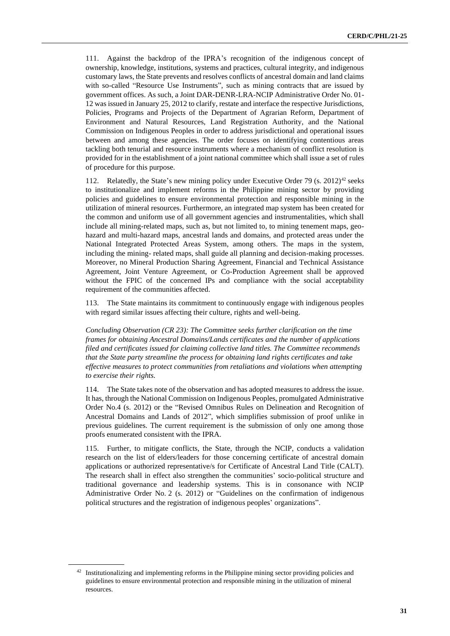111. Against the backdrop of the IPRA's recognition of the indigenous concept of ownership, knowledge, institutions, systems and practices, cultural integrity, and indigenous customary laws, the State prevents and resolves conflicts of ancestral domain and land claims with so-called "Resource Use Instruments", such as mining contracts that are issued by government offices. As such, a Joint DAR-DENR-LRA-NCIP Administrative Order No. 01- 12 was issued in January 25, 2012 to clarify, restate and interface the respective Jurisdictions, Policies, Programs and Projects of the Department of Agrarian Reform, Department of Environment and Natural Resources, Land Registration Authority, and the National Commission on Indigenous Peoples in order to address jurisdictional and operational issues between and among these agencies. The order focuses on identifying contentious areas tackling both tenurial and resource instruments where a mechanism of conflict resolution is provided for in the establishment of a joint national committee which shall issue a set of rules of procedure for this purpose.

112. Relatedly, the State's new mining policy under Executive Order 79 (s.  $2012)^{42}$  seeks to institutionalize and implement reforms in the Philippine mining sector by providing policies and guidelines to ensure environmental protection and responsible mining in the utilization of mineral resources. Furthermore, an integrated map system has been created for the common and uniform use of all government agencies and instrumentalities, which shall include all mining-related maps, such as, but not limited to, to mining tenement maps, geohazard and multi-hazard maps, ancestral lands and domains, and protected areas under the National Integrated Protected Areas System, among others. The maps in the system, including the mining- related maps, shall guide all planning and decision-making processes. Moreover, no Mineral Production Sharing Agreement, Financial and Technical Assistance Agreement, Joint Venture Agreement, or Co-Production Agreement shall be approved without the FPIC of the concerned IPs and compliance with the social acceptability requirement of the communities affected.

113. The State maintains its commitment to continuously engage with indigenous peoples with regard similar issues affecting their culture, rights and well-being.

*Concluding Observation (CR 23): The Committee seeks further clarification on the time frames for obtaining Ancestral Domains/Lands certificates and the number of applications filed and certificates issued for claiming collective land titles. The Committee recommends that the State party streamline the process for obtaining land rights certificates and take effective measures to protect communities from retaliations and violations when attempting to exercise their rights.* 

114. The State takes note of the observation and has adopted measures to address the issue. It has, through the National Commission on Indigenous Peoples, promulgated Administrative Order No.4 (s. 2012) or the "Revised Omnibus Rules on Delineation and Recognition of Ancestral Domains and Lands of 2012", which simplifies submission of proof unlike in previous guidelines. The current requirement is the submission of only one among those proofs enumerated consistent with the IPRA.

115. Further, to mitigate conflicts, the State, through the NCIP, conducts a validation research on the list of elders/leaders for those concerning certificate of ancestral domain applications or authorized representative/s for Certificate of Ancestral Land Title (CALT). The research shall in effect also strengthen the communities' socio-political structure and traditional governance and leadership systems. This is in consonance with NCIP Administrative Order No. 2 (s. 2012) or "Guidelines on the confirmation of indigenous political structures and the registration of indigenous peoples' organizations".

<sup>&</sup>lt;sup>42</sup> Institutionalizing and implementing reforms in the Philippine mining sector providing policies and guidelines to ensure environmental protection and responsible mining in the utilization of mineral resources.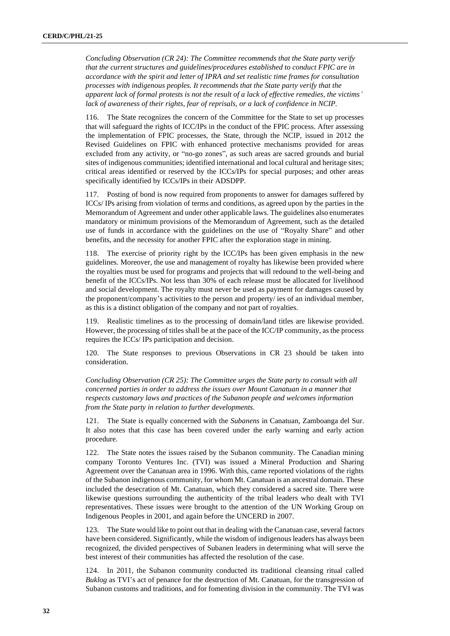*Concluding Observation (CR 24): The Committee recommends that the State party verify that the current structures and guidelines/procedures established to conduct FPIC are in accordance with the spirit and letter of IPRA and set realistic time frames for consultation processes with indigenous peoples. It recommends that the State party verify that the apparent lack of formal protests is not the result of a lack of effective remedies, the victims' lack of awareness of their rights, fear of reprisals, or a lack of confidence in NCIP.* 

116. The State recognizes the concern of the Committee for the State to set up processes that will safeguard the rights of ICC/IPs in the conduct of the FPIC process. After assessing the implementation of FPIC processes, the State, through the NCIP, issued in 2012 the Revised Guidelines on FPIC with enhanced protective mechanisms provided for areas excluded from any activity, or "no-go zones", as such areas are sacred grounds and burial sites of indigenous communities; identified international and local cultural and heritage sites; critical areas identified or reserved by the ICCs/IPs for special purposes; and other areas specifically identified by ICCs/IPs in their ADSDPP.

117. Posting of bond is now required from proponents to answer for damages suffered by ICCs/ IPs arising from violation of terms and conditions, as agreed upon by the parties in the Memorandum of Agreement and under other applicable laws. The guidelines also enumerates mandatory or minimum provisions of the Memorandum of Agreement, such as the detailed use of funds in accordance with the guidelines on the use of "Royalty Share" and other benefits, and the necessity for another FPIC after the exploration stage in mining.

118. The exercise of priority right by the ICC/IPs has been given emphasis in the new guidelines. Moreover, the use and management of royalty has likewise been provided where the royalties must be used for programs and projects that will redound to the well-being and benefit of the ICCs/IPs. Not less than 30% of each release must be allocated for livelihood and social development. The royalty must never be used as payment for damages caused by the proponent/company's activities to the person and property/ ies of an individual member, as this is a distinct obligation of the company and not part of royalties.

119. Realistic timelines as to the processing of domain/land titles are likewise provided. However, the processing of titles shall be at the pace of the ICC/IP community, as the process requires the ICCs/ IPs participation and decision.

120. The State responses to previous Observations in CR 23 should be taken into consideration.

*Concluding Observation (CR 25): The Committee urges the State party to consult with all concerned parties in order to address the issues over Mount Canatuan in a manner that respects customary laws and practices of the Subanon people and welcomes information from the State party in relation to further developments.* 

121. The State is equally concerned with the *Subanens* in Canatuan, Zamboanga del Sur. It also notes that this case has been covered under the early warning and early action procedure.

122. The State notes the issues raised by the Subanon community. The Canadian mining company Toronto Ventures Inc. (TVI) was issued a Mineral Production and Sharing Agreement over the Canatuan area in 1996. With this, came reported violations of the rights of the Subanon indigenous community, for whom Mt. Canatuan is an ancestral domain. These included the desecration of Mt. Canatuan, which they considered a sacred site. There were likewise questions surrounding the authenticity of the tribal leaders who dealt with TVI representatives. These issues were brought to the attention of the UN Working Group on Indigenous Peoples in 2001, and again before the UNCERD in 2007.

123. The State would like to point out that in dealing with the Canatuan case, several factors have been considered. Significantly, while the wisdom of indigenous leaders has always been recognized, the divided perspectives of Subanen leaders in determining what will serve the best interest of their communities has affected the resolution of the case.

124. In 2011, the Subanon community conducted its traditional cleansing ritual called *Buklog* as TVI's act of penance for the destruction of Mt. Canatuan, for the transgression of Subanon customs and traditions, and for fomenting division in the community. The TVI was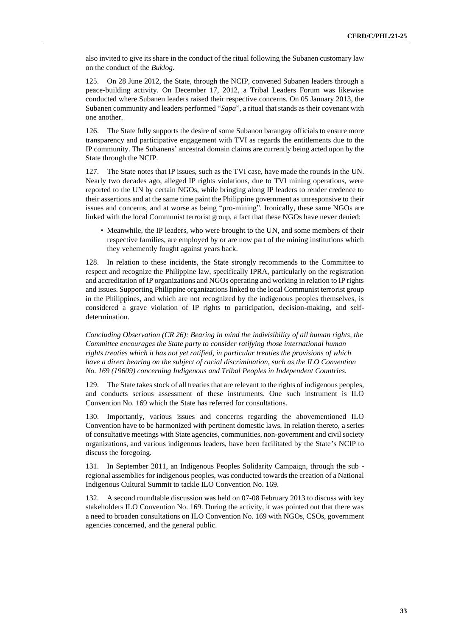also invited to give its share in the conduct of the ritual following the Subanen customary law on the conduct of the *Buklog*.

125. On 28 June 2012, the State, through the NCIP, convened Subanen leaders through a peace-building activity. On December 17, 2012, a Tribal Leaders Forum was likewise conducted where Subanen leaders raised their respective concerns. On 05 January 2013, the Subanen community and leaders performed "*Sapa*", a ritual that stands as their covenant with one another.

126. The State fully supports the desire of some Subanon barangay officials to ensure more transparency and participative engagement with TVI as regards the entitlements due to the IP community. The Subanens' ancestral domain claims are currently being acted upon by the State through the NCIP.

127. The State notes that IP issues, such as the TVI case, have made the rounds in the UN. Nearly two decades ago, alleged IP rights violations, due to TVI mining operations, were reported to the UN by certain NGOs, while bringing along IP leaders to render credence to their assertions and at the same time paint the Philippine government as unresponsive to their issues and concerns, and at worse as being "pro-mining". Ironically, these same NGOs are linked with the local Communist terrorist group, a fact that these NGOs have never denied:

• Meanwhile, the IP leaders, who were brought to the UN, and some members of their respective families, are employed by or are now part of the mining institutions which they vehemently fought against years back.

128. In relation to these incidents, the State strongly recommends to the Committee to respect and recognize the Philippine law, specifically IPRA, particularly on the registration and accreditation of IP organizations and NGOs operating and working in relation to IP rights and issues. Supporting Philippine organizations linked to the local Communist terrorist group in the Philippines, and which are not recognized by the indigenous peoples themselves, is considered a grave violation of IP rights to participation, decision-making, and selfdetermination.

*Concluding Observation (CR 26): Bearing in mind the indivisibility of all human rights, the Committee encourages the State party to consider ratifying those international human rights treaties which it has not yet ratified, in particular treaties the provisions of which have a direct bearing on the subject of racial discrimination, such as the ILO Convention No. 169 (19609) concerning Indigenous and Tribal Peoples in Independent Countries.* 

129. The State takes stock of all treaties that are relevant to the rights of indigenous peoples, and conducts serious assessment of these instruments. One such instrument is ILO Convention No. 169 which the State has referred for consultations.

130. Importantly, various issues and concerns regarding the abovementioned ILO Convention have to be harmonized with pertinent domestic laws. In relation thereto, a series of consultative meetings with State agencies, communities, non-government and civil society organizations, and various indigenous leaders, have been facilitated by the State's NCIP to discuss the foregoing.

131. In September 2011, an Indigenous Peoples Solidarity Campaign, through the sub regional assemblies for indigenous peoples, was conducted towards the creation of a National Indigenous Cultural Summit to tackle ILO Convention No. 169.

A second roundtable discussion was held on 07-08 February 2013 to discuss with key stakeholders ILO Convention No. 169. During the activity, it was pointed out that there was a need to broaden consultations on ILO Convention No. 169 with NGOs, CSOs, government agencies concerned, and the general public.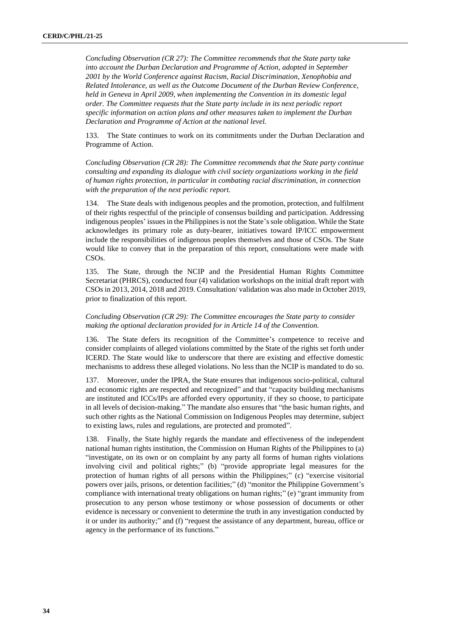*Concluding Observation (CR 27): The Committee recommends that the State party take into account the Durban Declaration and Programme of Action, adopted in September 2001 by the World Conference against Racism, Racial Discrimination, Xenophobia and Related Intolerance, as well as the Outcome Document of the Durban Review Conference, held in Geneva in April 2009, when implementing the Convention in its domestic legal order. The Committee requests that the State party include in its next periodic report specific information on action plans and other measures taken to implement the Durban Declaration and Programme of Action at the national level.* 

133. The State continues to work on its commitments under the Durban Declaration and Programme of Action.

*Concluding Observation (CR 28): The Committee recommends that the State party continue consulting and expanding its dialogue with civil society organizations working in the field of human rights protection, in particular in combating racial discrimination, in connection with the preparation of the next periodic report.*

134. The State deals with indigenous peoples and the promotion, protection, and fulfilment of their rights respectful of the principle of consensus building and participation. Addressing indigenous peoples' issues in the Philippines is not the State's sole obligation. While the State acknowledges its primary role as duty-bearer, initiatives toward IP/ICC empowerment include the responsibilities of indigenous peoples themselves and those of CSOs. The State would like to convey that in the preparation of this report, consultations were made with CSOs.

135. The State, through the NCIP and the Presidential Human Rights Committee Secretariat (PHRCS), conducted four (4) validation workshops on the initial draft report with CSOs in 2013, 2014, 2018 and 2019. Consultation/ validation was also made in October 2019, prior to finalization of this report.

#### *Concluding Observation (CR 29): The Committee encourages the State party to consider making the optional declaration provided for in Article 14 of the Convention.*

136. The State defers its recognition of the Committee's competence to receive and consider complaints of alleged violations committed by the State of the rights set forth under ICERD. The State would like to underscore that there are existing and effective domestic mechanisms to address these alleged violations. No less than the NCIP is mandated to do so.

137. Moreover, under the IPRA, the State ensures that indigenous socio-political, cultural and economic rights are respected and recognized" and that "capacity building mechanisms are instituted and ICCs/IPs are afforded every opportunity, if they so choose, to participate in all levels of decision-making." The mandate also ensures that "the basic human rights, and such other rights as the National Commission on Indigenous Peoples may determine, subject to existing laws, rules and regulations, are protected and promoted".

138. Finally, the State highly regards the mandate and effectiveness of the independent national human rights institution, the Commission on Human Rights of the Philippines to (a) "investigate, on its own or on complaint by any party all forms of human rights violations involving civil and political rights;" (b) "provide appropriate legal measures for the protection of human rights of all persons within the Philippines;" (c) "exercise visitorial powers over jails, prisons, or detention facilities;" (d) "monitor the Philippine Government's compliance with international treaty obligations on human rights;" (e) "grant immunity from prosecution to any person whose testimony or whose possession of documents or other evidence is necessary or convenient to determine the truth in any investigation conducted by it or under its authority;" and (f) "request the assistance of any department, bureau, office or agency in the performance of its functions."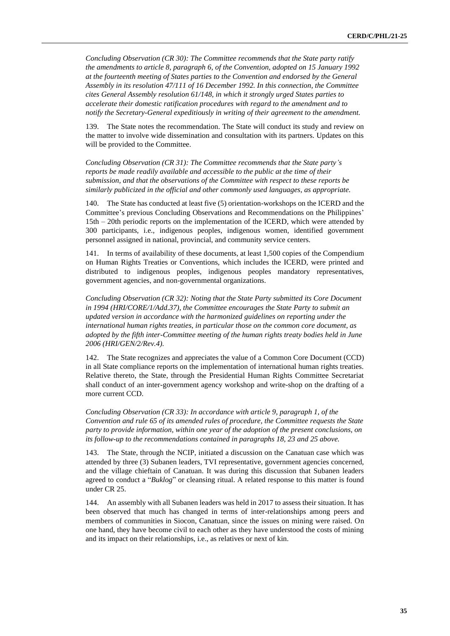*Concluding Observation (CR 30): The Committee recommends that the State party ratify the amendments to article 8, paragraph 6, of the Convention, adopted on 15 January 1992 at the fourteenth meeting of States parties to the Convention and endorsed by the General Assembly in its resolution 47/111 of 16 December 1992. In this connection, the Committee cites General Assembly resolution 61/148, in which it strongly urged States parties to accelerate their domestic ratification procedures with regard to the amendment and to notify the Secretary-General expeditiously in writing of their agreement to the amendment.* 

139. The State notes the recommendation. The State will conduct its study and review on the matter to involve wide dissemination and consultation with its partners. Updates on this will be provided to the Committee.

*Concluding Observation (CR 31): The Committee recommends that the State party's reports be made readily available and accessible to the public at the time of their submission, and that the observations of the Committee with respect to these reports be similarly publicized in the official and other commonly used languages, as appropriate.* 

140. The State has conducted at least five (5) orientation-workshops on the ICERD and the Committee's previous Concluding Observations and Recommendations on the Philippines' 15th – 20th periodic reports on the implementation of the ICERD, which were attended by 300 participants, i.e., indigenous peoples, indigenous women, identified government personnel assigned in national, provincial, and community service centers.

141. In terms of availability of these documents, at least 1,500 copies of the Compendium on Human Rights Treaties or Conventions, which includes the ICERD, were printed and distributed to indigenous peoples, indigenous peoples mandatory representatives, government agencies, and non-governmental organizations.

*Concluding Observation (CR 32): Noting that the State Party submitted its Core Document in 1994 (HRI/CORE/1/Add.37), the Committee encourages the State Party to submit an updated version in accordance with the harmonized guidelines on reporting under the international human rights treaties, in particular those on the common core document, as adopted by the fifth inter-Committee meeting of the human rights treaty bodies held in June 2006 (HRI/GEN/2/Rev.4).* 

142. The State recognizes and appreciates the value of a Common Core Document (CCD) in all State compliance reports on the implementation of international human rights treaties. Relative thereto, the State, through the Presidential Human Rights Committee Secretariat shall conduct of an inter-government agency workshop and write-shop on the drafting of a more current CCD.

*Concluding Observation (CR 33): In accordance with article 9, paragraph 1, of the Convention and rule 65 of its amended rules of procedure, the Committee requests the State party to provide information, within one year of the adoption of the present conclusions, on*  its follow-up to the recommendations contained in paragraphs 18, 23 and 25 above.

143. The State, through the NCIP, initiated a discussion on the Canatuan case which was attended by three (3) Subanen leaders, TVI representative, government agencies concerned, and the village chieftain of Canatuan. It was during this discussion that Subanen leaders agreed to conduct a "*Buklog*" or cleansing ritual. A related response to this matter is found under CR 25.

144. An assembly with all Subanen leaders was held in 2017 to assess their situation. It has been observed that much has changed in terms of inter-relationships among peers and members of communities in Siocon, Canatuan, since the issues on mining were raised. On one hand, they have become civil to each other as they have understood the costs of mining and its impact on their relationships, i.e., as relatives or next of kin.